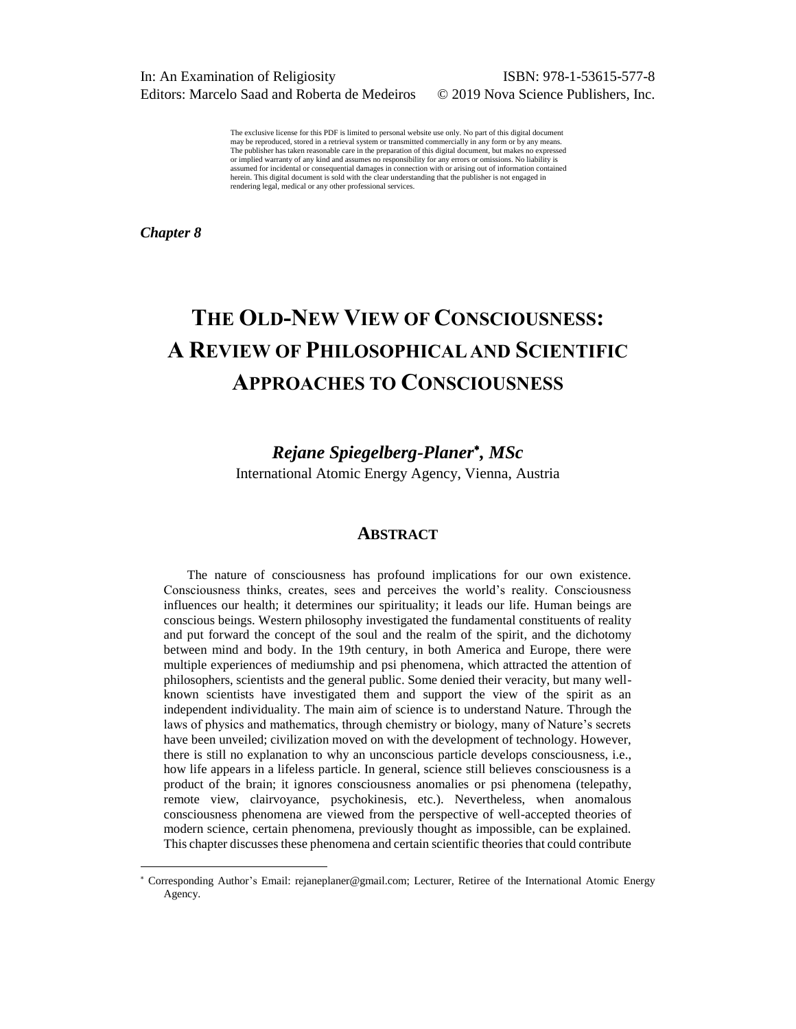In: An Examination of Religiosity ISBN: 978-1-53615-577-8 Editors: Marcelo Saad and Roberta de Medeiros © 2019 Nova Science Publishers, Inc.

The exclusive license for this PDF is limited to personal website use only. No part of this digital document may be reproduced, stored in a retrieval system or transmitted commercially in any form or by any means. The publisher has taken reasonable care in the preparation of this digital document, but makes no expressed or implied warranty of any kind and assumes no responsibility for any errors or omissions. No liability is assumed for incidental or consequential damages in connection with or arising out of information contained herein. This digital document is sold with the clear understanding that the publisher is not engaged in rendering legal, medical or any other professional services.

*Chapter 8*

l

# **THE OLD-NEW VIEW OF CONSCIOUSNESS: A REVIEW OF PHILOSOPHICAL AND SCIENTIFIC APPROACHES TO CONSCIOUSNESS**

# *Rejane Spiegelberg-Planer , MSc*

International Atomic Energy Agency, Vienna, Austria

## **ABSTRACT**

The nature of consciousness has profound implications for our own existence. Consciousness thinks, creates, sees and perceives the world's reality. Consciousness influences our health; it determines our spirituality; it leads our life. Human beings are conscious beings. Western philosophy investigated the fundamental constituents of reality and put forward the concept of the soul and the realm of the spirit, and the dichotomy between mind and body. In the 19th century, in both America and Europe, there were multiple experiences of mediumship and psi phenomena, which attracted the attention of philosophers, scientists and the general public. Some denied their veracity, but many wellknown scientists have investigated them and support the view of the spirit as an independent individuality. The main aim of science is to understand Nature. Through the laws of physics and mathematics, through chemistry or biology, many of Nature's secrets have been unveiled; civilization moved on with the development of technology. However, there is still no explanation to why an unconscious particle develops consciousness, i.e., how life appears in a lifeless particle. In general, science still believes consciousness is a product of the brain; it ignores consciousness anomalies or psi phenomena (telepathy, remote view, clairvoyance, psychokinesis, etc.). Nevertheless, when anomalous consciousness phenomena are viewed from the perspective of well-accepted theories of modern science, certain phenomena, previously thought as impossible, can be explained. This chapter discusses these phenomena and certain scientific theories that could contribute

 Corresponding Author's Email: [rejaneplaner@gmail.com;](mailto:rejaneplaner@gmail.com) Lecturer, Retiree of the International Atomic Energy Agency.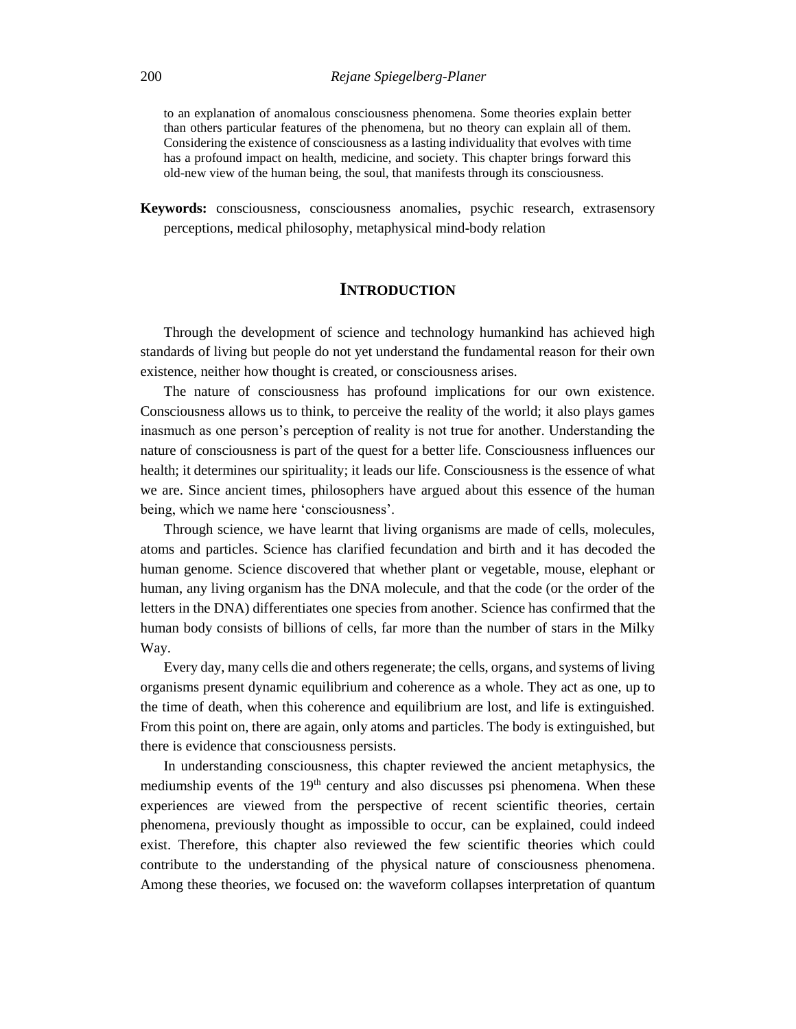to an explanation of anomalous consciousness phenomena. Some theories explain better than others particular features of the phenomena, but no theory can explain all of them. Considering the existence of consciousness as a lasting individuality that evolves with time has a profound impact on health, medicine, and society. This chapter brings forward this old-new view of the human being, the soul, that manifests through its consciousness.

**Keywords:** consciousness, consciousness anomalies, psychic research, extrasensory perceptions, medical philosophy, metaphysical mind-body relation

# **INTRODUCTION**

Through the development of science and technology humankind has achieved high standards of living but people do not yet understand the fundamental reason for their own existence, neither how thought is created, or consciousness arises.

The nature of consciousness has profound implications for our own existence. Consciousness allows us to think, to perceive the reality of the world; it also plays games inasmuch as one person's perception of reality is not true for another. Understanding the nature of consciousness is part of the quest for a better life. Consciousness influences our health; it determines our spirituality; it leads our life. Consciousness is the essence of what we are. Since ancient times, philosophers have argued about this essence of the human being, which we name here 'consciousness'.

Through science, we have learnt that living organisms are made of cells, molecules, atoms and particles. Science has clarified fecundation and birth and it has decoded the human genome. Science discovered that whether plant or vegetable, mouse, elephant or human, any living organism has the DNA molecule, and that the code (or the order of the letters in the DNA) differentiates one species from another. Science has confirmed that the human body consists of billions of cells, far more than the number of stars in the Milky Way.

Every day, many cells die and others regenerate; the cells, organs, and systems of living organisms present dynamic equilibrium and coherence as a whole. They act as one, up to the time of death, when this coherence and equilibrium are lost, and life is extinguished. From this point on, there are again, only atoms and particles. The body is extinguished, but there is evidence that consciousness persists.

In understanding consciousness, this chapter reviewed the ancient metaphysics, the mediumship events of the 19<sup>th</sup> century and also discusses psi phenomena. When these experiences are viewed from the perspective of recent scientific theories, certain phenomena, previously thought as impossible to occur, can be explained, could indeed exist. Therefore, this chapter also reviewed the few scientific theories which could contribute to the understanding of the physical nature of consciousness phenomena. Among these theories, we focused on: the waveform collapses interpretation of quantum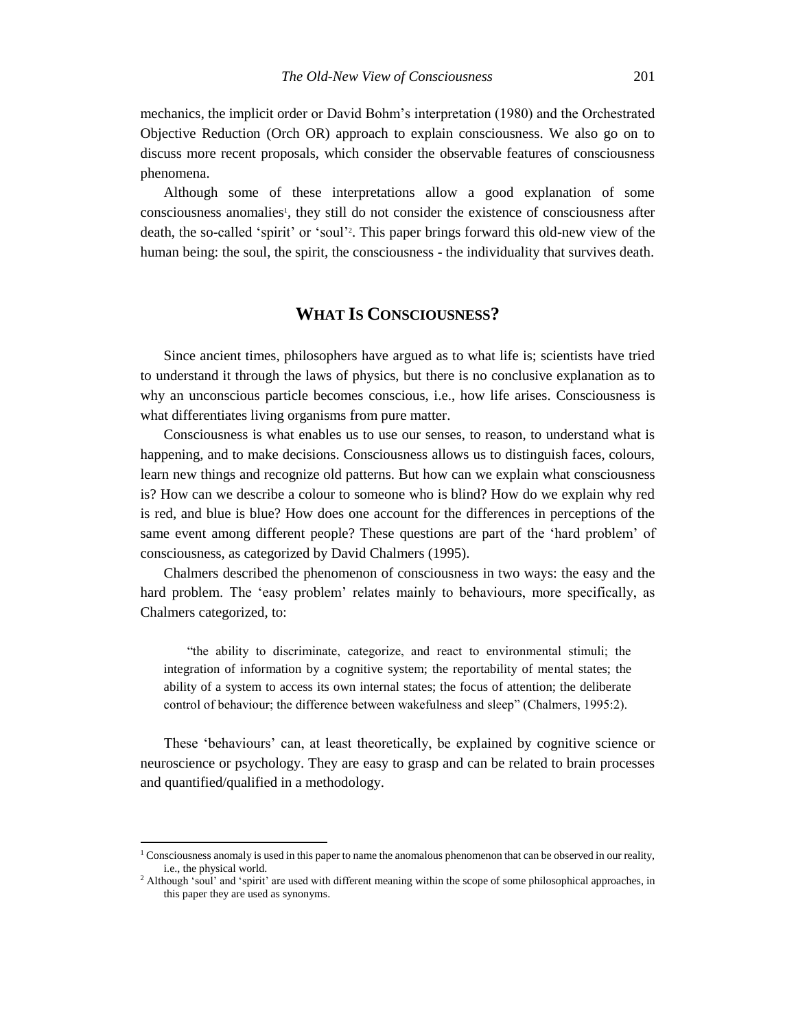mechanics, the implicit order or David Bohm's interpretation (1980) and the Orchestrated Objective Reduction (Orch OR) approach to explain consciousness. We also go on to discuss more recent proposals, which consider the observable features of consciousness phenomena.

Although some of these interpretations allow a good explanation of some consciousness anomalies<sup>1</sup>, they still do not consider the existence of consciousness after death, the so-called 'spirit' or 'soul' 2 . This paper brings forward this old-new view of the human being: the soul, the spirit, the consciousness - the individuality that survives death.

# **WHAT IS CONSCIOUSNESS?**

Since ancient times, philosophers have argued as to what life is; scientists have tried to understand it through the laws of physics, but there is no conclusive explanation as to why an unconscious particle becomes conscious, i.e., how life arises. Consciousness is what differentiates living organisms from pure matter.

Consciousness is what enables us to use our senses, to reason, to understand what is happening, and to make decisions. Consciousness allows us to distinguish faces, colours, learn new things and recognize old patterns. But how can we explain what consciousness is? How can we describe a colour to someone who is blind? How do we explain why red is red, and blue is blue? How does one account for the differences in perceptions of the same event among different people? These questions are part of the 'hard problem' of consciousness, as categorized by David Chalmers (1995).

Chalmers described the phenomenon of consciousness in two ways: the easy and the hard problem. The 'easy problem' relates mainly to behaviours, more specifically, as Chalmers categorized, to:

"the ability to discriminate, categorize, and react to environmental stimuli; the integration of information by a cognitive system; the reportability of mental states; the ability of a system to access its own internal states; the focus of attention; the deliberate control of behaviour; the difference between wakefulness and sleep" (Chalmers, 1995:2).

These 'behaviours' can, at least theoretically, be explained by cognitive science or neuroscience or psychology. They are easy to grasp and can be related to brain processes and quantified/qualified in a methodology.

<sup>&</sup>lt;sup>1</sup> Consciousness anomaly is used in this paper to name the anomalous phenomenon that can be observed in our reality, i.e., the physical world.

<sup>&</sup>lt;sup>2</sup> Although 'soul' and 'spirit' are used with different meaning within the scope of some philosophical approaches, in this paper they are used as synonyms.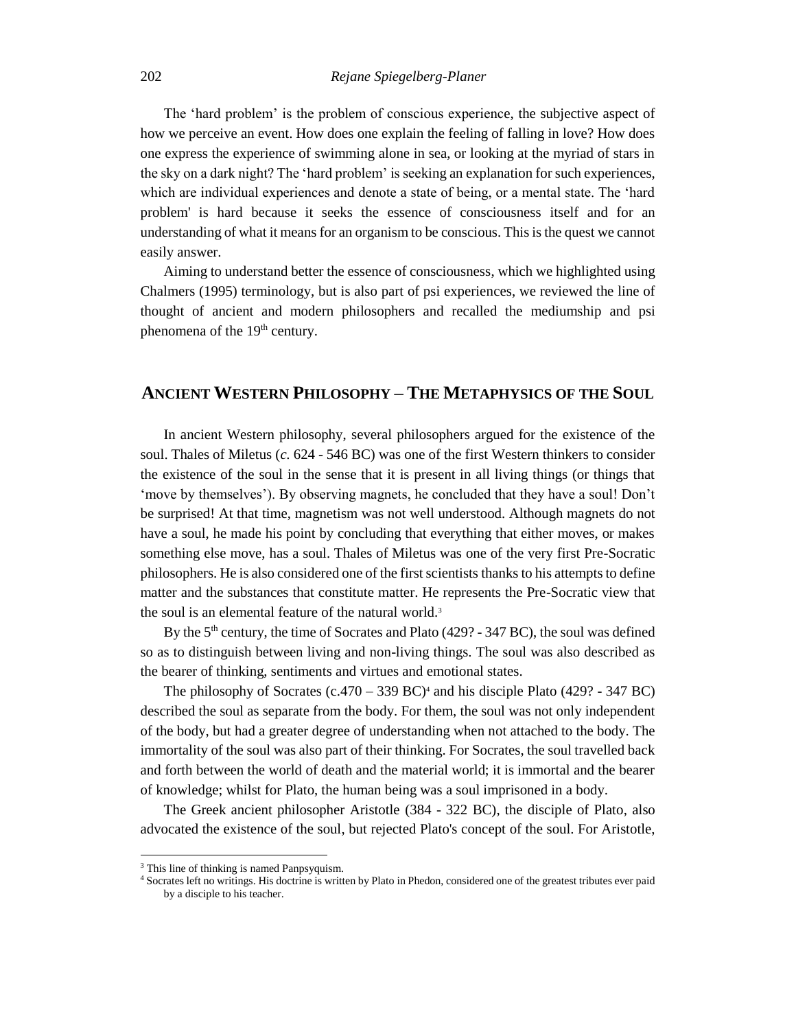The 'hard problem' is the problem of conscious experience, the subjective aspect of how we perceive an event. How does one explain the feeling of falling in love? How does one express the experience of swimming alone in sea, or looking at the myriad of stars in the sky on a dark night? The 'hard problem' is seeking an explanation for such experiences, which are individual experiences and denote a state of being, or a mental state. The 'hard problem' is hard because it seeks the essence of consciousness itself and for an understanding of what it means for an organism to be conscious. This is the quest we cannot easily answer.

Aiming to understand better the essence of consciousness, which we highlighted using Chalmers (1995) terminology, but is also part of psi experiences, we reviewed the line of thought of ancient and modern philosophers and recalled the mediumship and psi phenomena of the 19<sup>th</sup> century.

# **ANCIENT WESTERN PHILOSOPHY – THE METAPHYSICS OF THE SOUL**

In ancient Western philosophy, several philosophers argued for the existence of the soul. Thales of Miletus (*c.* 624 - 546 BC) was one of the first Western thinkers to consider the existence of the soul in the sense that it is present in all living things (or things that 'move by themselves'). By observing magnets, he concluded that they have a soul! Don't be surprised! At that time, magnetism was not well understood. Although magnets do not have a soul, he made his point by concluding that everything that either moves, or makes something else move, has a soul. Thales of Miletus was one of the very first Pre-Socratic philosophers. He is also considered one of the first scientists thanks to his attempts to define matter and the substances that constitute matter. He represents the Pre-Socratic view that the soul is an elemental feature of the natural world.<sup>3</sup>

By the 5<sup>th</sup> century, the time of Socrates and Plato (429? - 347 BC), the soul was defined so as to distinguish between living and non-living things. The soul was also described as the bearer of thinking, sentiments and virtues and emotional states.

The philosophy of Socrates  $(c.470 - 339 \text{ BC})$ <sup>4</sup> and his disciple Plato (429? - 347 BC) described the soul as separate from the body. For them, the soul was not only independent of the body, but had a greater degree of understanding when not attached to the body. The immortality of the soul was also part of their thinking. For Socrates, the soul travelled back and forth between the world of death and the material world; it is immortal and the bearer of knowledge; whilst for Plato, the human being was a soul imprisoned in a body.

The Greek ancient philosopher Aristotle (384 - 322 BC), the disciple of Plato, also advocated the existence of the soul, but rejected Plato's concept of the soul. For Aristotle,

<sup>&</sup>lt;sup>3</sup> This line of thinking is named Panpsyquism.

<sup>4</sup> Socrates left no writings. His doctrine is written by Plato in Phedon, considered one of the greatest tributes ever paid by a disciple to his teacher.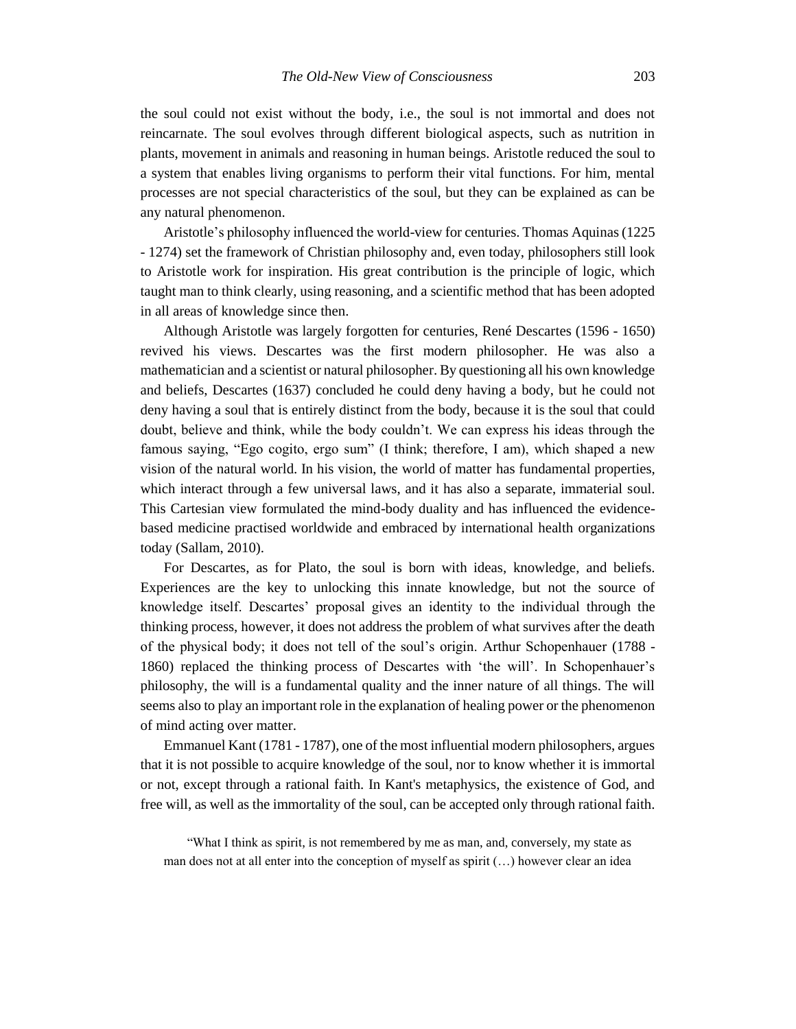the soul could not exist without the body, i.e., the soul is not immortal and does not reincarnate. The soul evolves through different biological aspects, such as nutrition in plants, movement in animals and reasoning in human beings. Aristotle reduced the soul to a system that enables living organisms to perform their vital functions. For him, mental processes are not special characteristics of the soul, but they can be explained as can be any natural phenomenon.

Aristotle's philosophy influenced the world-view for centuries. Thomas Aquinas (1225 - 1274) set the framework of Christian philosophy and, even today, philosophers still look to Aristotle work for inspiration. His great contribution is the principle of logic, which taught man to think clearly, using reasoning, and a scientific method that has been adopted in all areas of knowledge since then.

Although Aristotle was largely forgotten for centuries, René Descartes (1596 - 1650) revived his views. Descartes was the first modern philosopher. He was also a mathematician and a scientist or natural philosopher. By questioning all his own knowledge and beliefs, Descartes (1637) concluded he could deny having a body, but he could not deny having a soul that is entirely distinct from the body, because it is the soul that could doubt, believe and think, while the body couldn't. We can express his ideas through the famous saying, "Ego cogito, ergo sum" (I think; therefore, I am), which shaped a new vision of the natural world. In his vision, the world of matter has fundamental properties, which interact through a few universal laws, and it has also a separate, immaterial soul. This Cartesian view formulated the mind-body duality and has influenced the evidencebased medicine practised worldwide and embraced by international health organizations today (Sallam, 2010).

For Descartes, as for Plato, the soul is born with ideas, knowledge, and beliefs. Experiences are the key to unlocking this innate knowledge, but not the source of knowledge itself. Descartes' proposal gives an identity to the individual through the thinking process, however, it does not address the problem of what survives after the death of the physical body; it does not tell of the soul's origin. Arthur Schopenhauer (1788 - 1860) replaced the thinking process of Descartes with 'the will'. In Schopenhauer's philosophy, the will is a fundamental quality and the inner nature of all things. The will seems also to play an important role in the explanation of healing power or the phenomenon of mind acting over matter.

Emmanuel Kant (1781 - 1787), one of the most influential modern philosophers, argues that it is not possible to acquire knowledge of the soul, nor to know whether it is immortal or not, except through a rational faith. In Kant's metaphysics, the existence of God, and free will, as well as the immortality of the soul, can be accepted only through rational faith.

"What I think as spirit, is not remembered by me as man, and, conversely, my state as man does not at all enter into the conception of myself as spirit (…) however clear an idea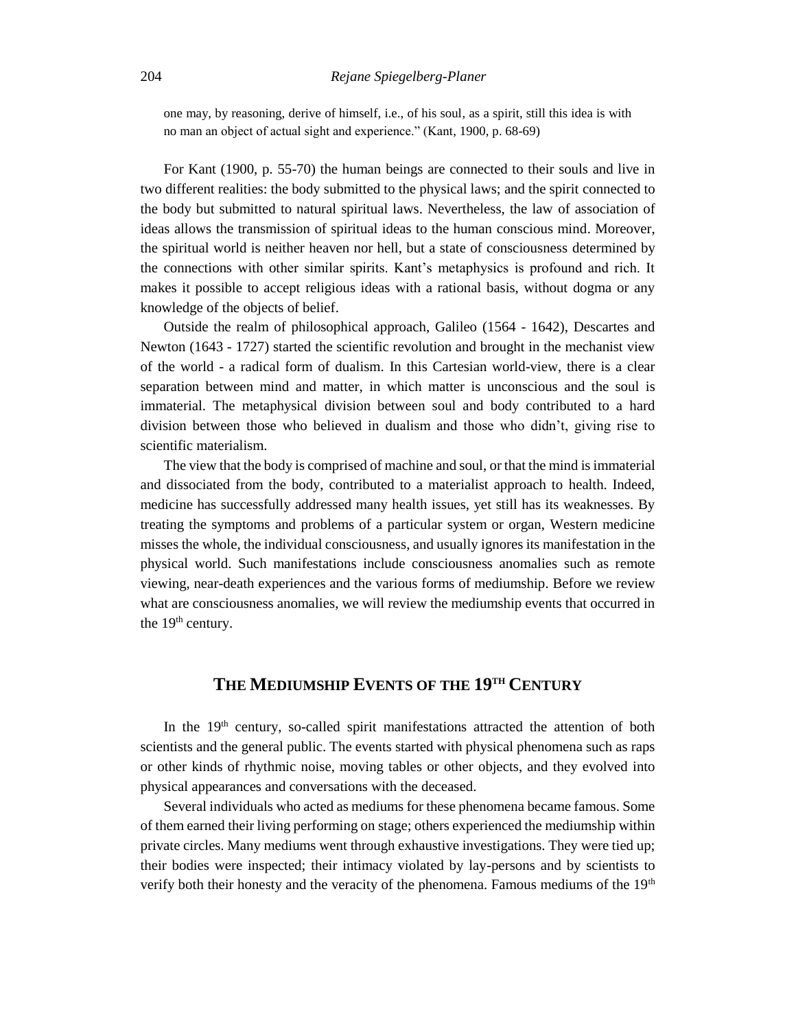one may, by reasoning, derive of himself, i.e., of his soul, as a spirit, still this idea is with no man an object of actual sight and experience." (Kant, 1900, p. 68-69)

For Kant (1900, p. 55-70) the human beings are connected to their souls and live in two different realities: the body submitted to the physical laws; and the spirit connected to the body but submitted to natural spiritual laws. Nevertheless, the law of association of ideas allows the transmission of spiritual ideas to the human conscious mind. Moreover, the spiritual world is neither heaven nor hell, but a state of consciousness determined by the connections with other similar spirits. Kant's metaphysics is profound and rich. It makes it possible to accept religious ideas with a rational basis, without dogma or any knowledge of the objects of belief.

Outside the realm of philosophical approach, Galileo (1564 - 1642), Descartes and Newton (1643 - 1727) started the scientific revolution and brought in the mechanist view of the world - a radical form of dualism. In this Cartesian world-view, there is a clear separation between mind and matter, in which matter is unconscious and the soul is immaterial. The metaphysical division between soul and body contributed to a hard division between those who believed in dualism and those who didn't, giving rise to scientific materialism.

The view that the body is comprised of machine and soul, or that the mind is immaterial and dissociated from the body, contributed to a materialist approach to health. Indeed, medicine has successfully addressed many health issues, yet still has its weaknesses. By treating the symptoms and problems of a particular system or organ, Western medicine misses the whole, the individual consciousness, and usually ignores its manifestation in the physical world. Such manifestations include consciousness anomalies such as remote viewing, near-death experiences and the various forms of mediumship. Before we review what are consciousness anomalies, we will review the mediumship events that occurred in the  $19<sup>th</sup>$  century.

# **THE MEDIUMSHIP EVENTS OF THE 19TH CENTURY**

In the 19<sup>th</sup> century, so-called spirit manifestations attracted the attention of both scientists and the general public. The events started with physical phenomena such as raps or other kinds of rhythmic noise, moving tables or other objects, and they evolved into physical appearances and conversations with the deceased.

Several individuals who acted as mediums for these phenomena became famous. Some of them earned their living performing on stage; others experienced the mediumship within private circles. Many mediums went through exhaustive investigations. They were tied up; their bodies were inspected; their intimacy violated by lay-persons and by scientists to verify both their honesty and the veracity of the phenomena. Famous mediums of the  $19<sup>th</sup>$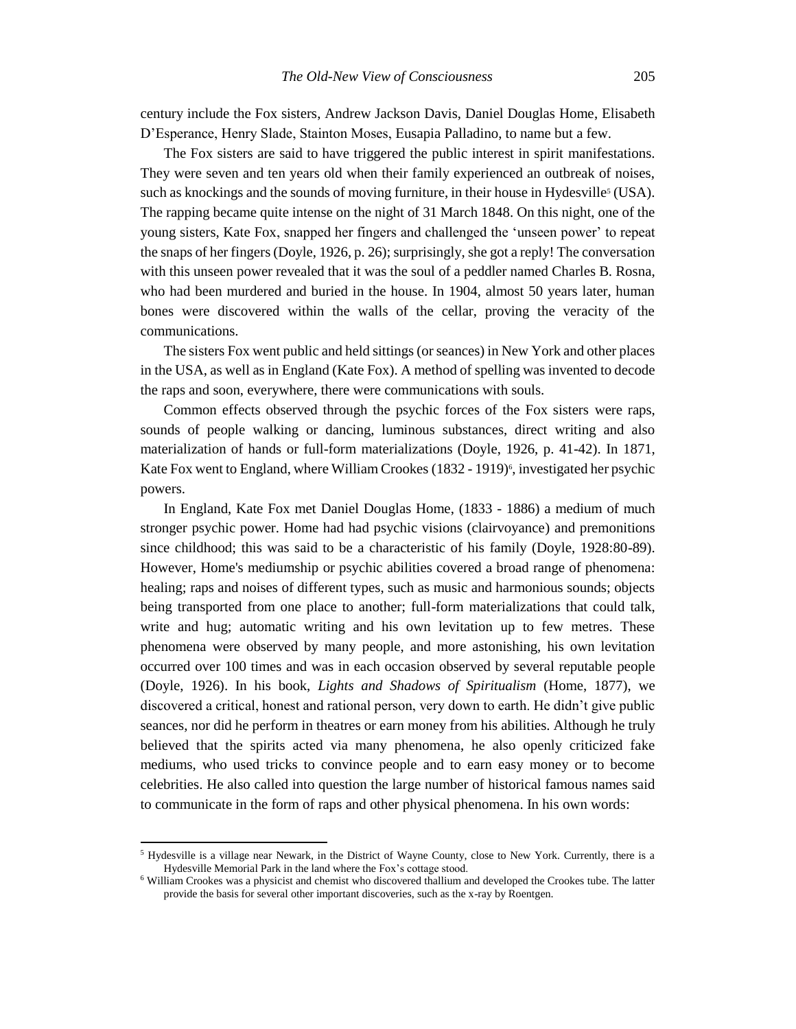century include the Fox sisters, Andrew Jackson Davis, Daniel Douglas Home, Elisabeth D'Esperance, Henry Slade, Stainton Moses, Eusapia Palladino, to name but a few.

The Fox sisters are said to have triggered the public interest in spirit manifestations. They were seven and ten years old when their family experienced an outbreak of noises, such as knockings and the sounds of moving furniture, in their house in Hydesville<sup>5</sup> (USA). The rapping became quite intense on the night of 31 March 1848. On this night, one of the young sisters, Kate Fox, snapped her fingers and challenged the 'unseen power' to repeat the snaps of her fingers (Doyle, 1926, p. 26); surprisingly, she got a reply! The conversation with this unseen power revealed that it was the soul of a peddler named Charles B. Rosna, who had been murdered and buried in the house. In 1904, almost 50 years later, human bones were discovered within the walls of the cellar, proving the veracity of the communications.

The sisters Fox went public and held sittings (or seances) in New York and other places in the USA, as well as in England (Kate Fox). A method of spelling was invented to decode the raps and soon, everywhere, there were communications with souls.

Common effects observed through the psychic forces of the Fox sisters were raps, sounds of people walking or dancing, luminous substances, direct writing and also materialization of hands or full-form materializations (Doyle, 1926, p. 41-42). In 1871, Kate Fox went to England, where William Crookes (1832 - 1919)<sup>6</sup>, investigated her psychic powers.

In England, Kate Fox met Daniel Douglas Home, (1833 - 1886) a medium of much stronger psychic power. Home had had psychic visions (clairvoyance) and premonitions since childhood; this was said to be a characteristic of his family (Doyle, 1928:80-89). However, Home's mediumship or psychic abilities covered a broad range of phenomena: healing; raps and noises of different types, such as music and harmonious sounds; objects being transported from one place to another; full-form materializations that could talk, write and hug; automatic writing and his own levitation up to few metres. These phenomena were observed by many people, and more astonishing, his own levitation occurred over 100 times and was in each occasion observed by several reputable people (Doyle, 1926). In his book, *Lights and Shadows of Spiritualism* (Home, 1877), we discovered a critical, honest and rational person, very down to earth. He didn't give public seances, nor did he perform in theatres or earn money from his abilities. Although he truly believed that the spirits acted via many phenomena, he also openly criticized fake mediums, who used tricks to convince people and to earn easy money or to become celebrities. He also called into question the large number of historical famous names said to communicate in the form of raps and other physical phenomena. In his own words:

<sup>&</sup>lt;sup>5</sup> Hydesville is a village near Newark, in the District of Wayne County, close to New York. Currently, there is a Hydesville Memorial Park in the land where the Fox's cottage stood.

<sup>6</sup> William Crookes was a physicist and chemist who discovered thallium and developed the Crookes tube. The latter provide the basis for several other important discoveries, such as the x-ray by Roentgen.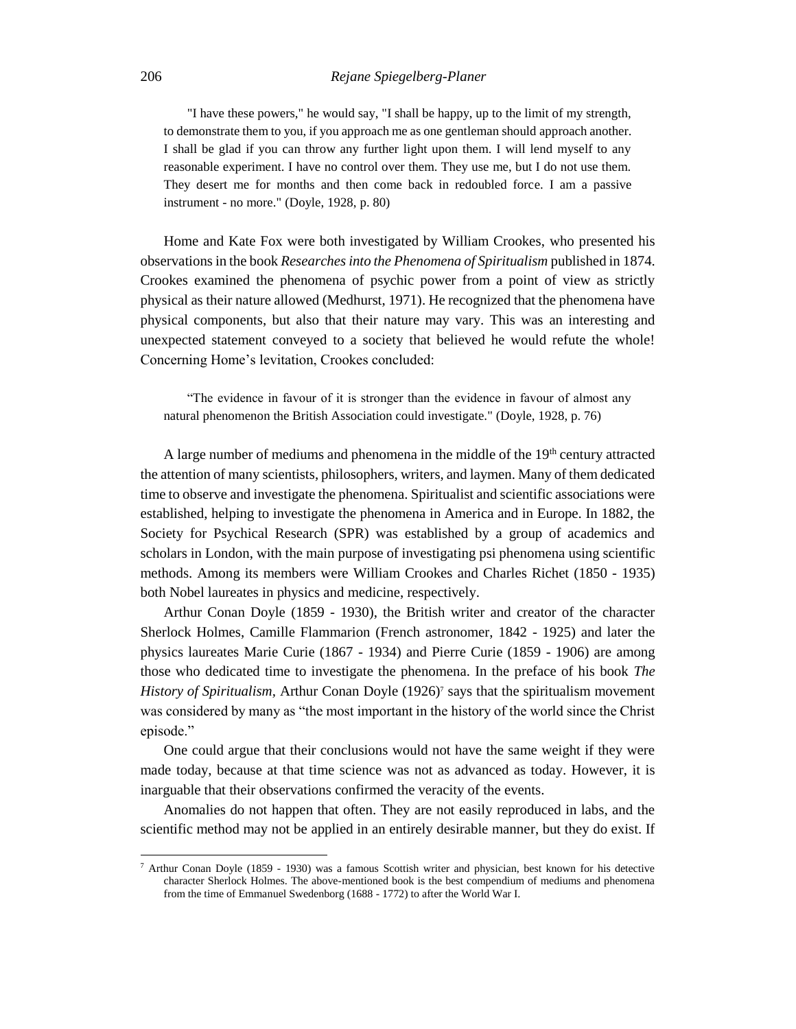#### 206 *Rejane Spiegelberg-Planer*

"I have these powers," he would say, "I shall be happy, up to the limit of my strength, to demonstrate them to you, if you approach me as one gentleman should approach another. I shall be glad if you can throw any further light upon them. I will lend myself to any reasonable experiment. I have no control over them. They use me, but I do not use them. They desert me for months and then come back in redoubled force. I am a passive instrument - no more." (Doyle, 1928, p. 80)

Home and Kate Fox were both investigated by William Crookes, who presented his observations in the book *Researches into the Phenomena of Spiritualism* published in 1874. Crookes examined the phenomena of psychic power from a point of view as strictly physical as their nature allowed (Medhurst, 1971). He recognized that the phenomena have physical components, but also that their nature may vary. This was an interesting and unexpected statement conveyed to a society that believed he would refute the whole! Concerning Home's levitation, Crookes concluded:

"The evidence in favour of it is stronger than the evidence in favour of almost any natural phenomenon the British Association could investigate." (Doyle, 1928, p. 76)

A large number of mediums and phenomena in the middle of the  $19<sup>th</sup>$  century attracted the attention of many scientists, philosophers, writers, and laymen. Many of them dedicated time to observe and investigate the phenomena. Spiritualist and scientific associations were established, helping to investigate the phenomena in America and in Europe. In 1882, the Society for Psychical Research (SPR) was established by a group of academics and scholars in London, with the main purpose of investigating psi phenomena using scientific methods. Among its members were William Crookes and Charles Richet (1850 - 1935) both Nobel laureates in physics and medicine, respectively.

Arthur Conan Doyle (1859 - 1930), the British writer and creator of the character Sherlock Holmes, Camille Flammarion (French astronomer, 1842 - 1925) and later the physics laureates Marie Curie (1867 - 1934) and Pierre Curie (1859 - 1906) are among those who dedicated time to investigate the phenomena. In the preface of his book *The History of Spiritualism,* Arthur Conan Doyle (1926)<sup>7</sup> says that the spiritualism movement was considered by many as "the most important in the history of the world since the Christ episode."

One could argue that their conclusions would not have the same weight if they were made today, because at that time science was not as advanced as today. However, it is inarguable that their observations confirmed the veracity of the events.

Anomalies do not happen that often. They are not easily reproduced in labs, and the scientific method may not be applied in an entirely desirable manner, but they do exist. If

<sup>7</sup> Arthur Conan Doyle (1859 - 1930) was a famous Scottish writer and physician, best known for his detective character Sherlock Holmes. The above-mentioned book is the best compendium of mediums and phenomena from the time of Emmanuel Swedenborg (1688 - 1772) to after the World War I.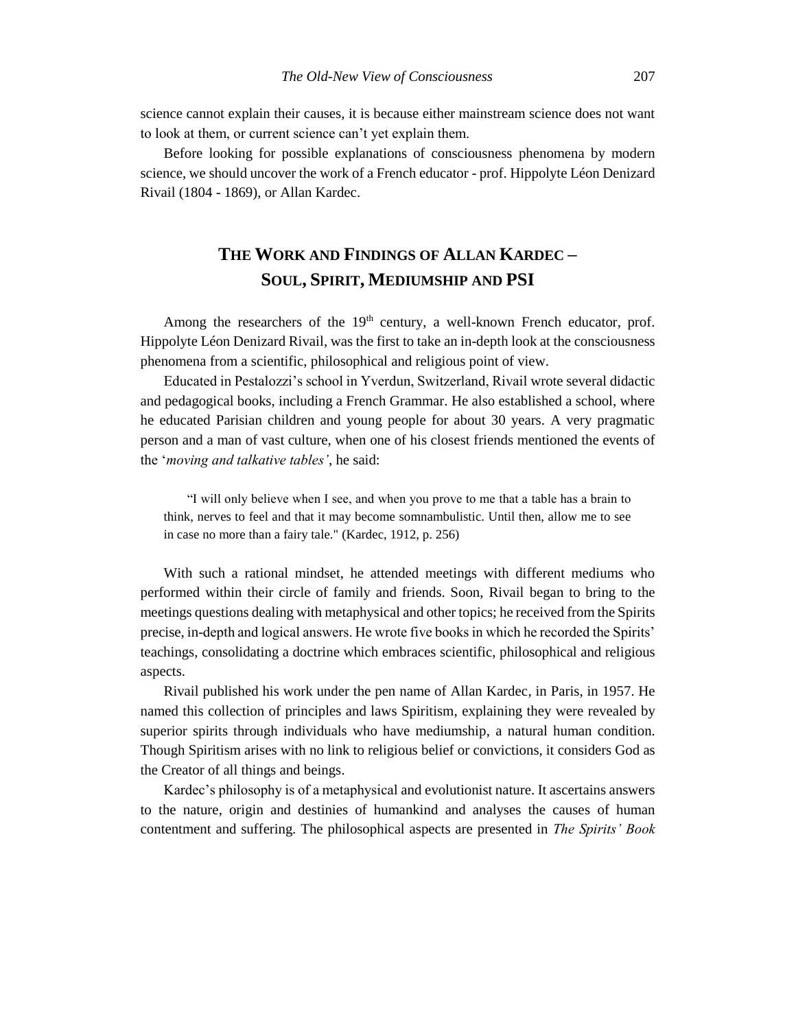science cannot explain their causes, it is because either mainstream science does not want to look at them, or current science can't yet explain them.

Before looking for possible explanations of consciousness phenomena by modern science, we should uncover the work of a French educator - prof. Hippolyte Léon Denizard Rivail (1804 - 1869), or Allan Kardec.

# **THE WORK AND FINDINGS OF ALLAN KARDEC – SOUL, SPIRIT, MEDIUMSHIP AND PSI**

Among the researchers of the  $19<sup>th</sup>$  century, a well-known French educator, prof. Hippolyte Léon Denizard Rivail, was the first to take an in-depth look at the consciousness phenomena from a scientific, philosophical and religious point of view.

Educated in Pestalozzi's school in Yverdun, Switzerland, Rivail wrote several didactic and pedagogical books, including a French Grammar. He also established a school, where he educated Parisian children and young people for about 30 years. A very pragmatic person and a man of vast culture, when one of his closest friends mentioned the events of the '*moving and talkative tables'*, he said:

"I will only believe when I see, and when you prove to me that a table has a brain to think, nerves to feel and that it may become somnambulistic. Until then, allow me to see in case no more than a fairy tale." (Kardec, 1912, p. 256)

With such a rational mindset, he attended meetings with different mediums who performed within their circle of family and friends. Soon, Rivail began to bring to the meetings questions dealing with metaphysical and other topics; he received from the Spirits precise, in-depth and logical answers. He wrote five books in which he recorded the Spirits' teachings, consolidating a doctrine which embraces scientific, philosophical and religious aspects.

Rivail published his work under the pen name of Allan Kardec, in Paris, in 1957. He named this collection of principles and laws Spiritism, explaining they were revealed by superior spirits through individuals who have mediumship, a natural human condition. Though Spiritism arises with no link to religious belief or convictions, it considers God as the Creator of all things and beings.

Kardec's philosophy is of a metaphysical and evolutionist nature. It ascertains answers to the nature, origin and destinies of humankind and analyses the causes of human contentment and suffering. The philosophical aspects are presented in *The Spirits' Book*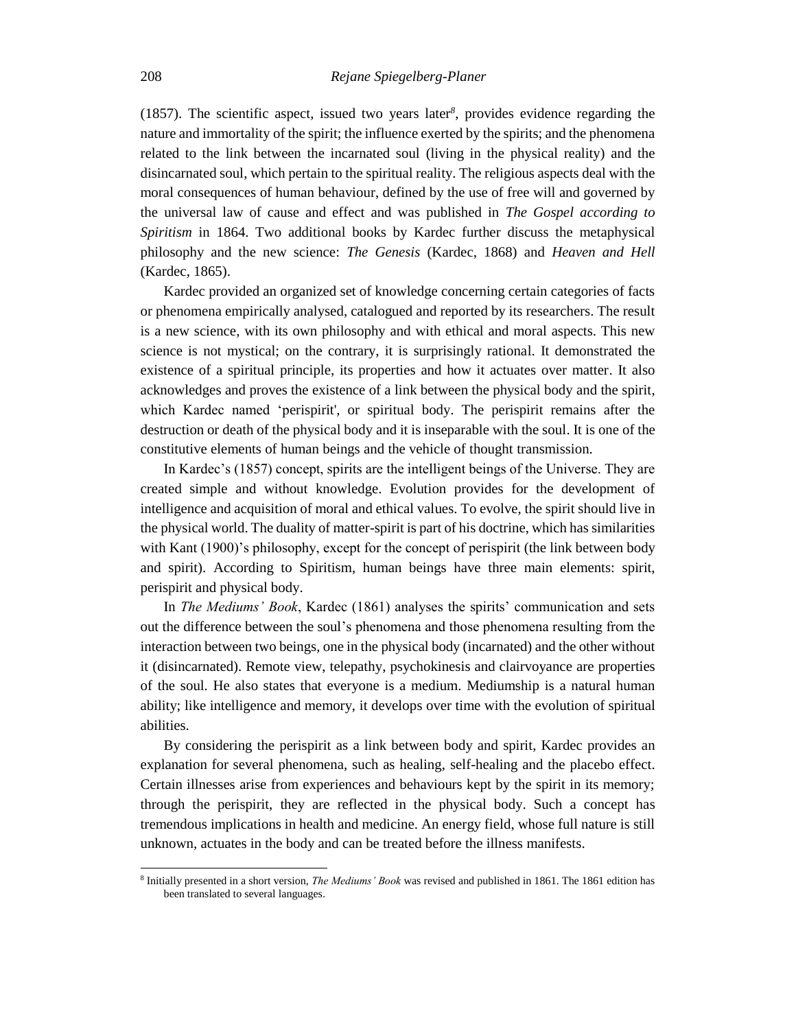(1857). The scientific aspect, issued two years later*<sup>8</sup>* , provides evidence regarding the nature and immortality of the spirit; the influence exerted by the spirits; and the phenomena related to the link between the incarnated soul (living in the physical reality) and the disincarnated soul, which pertain to the spiritual reality. The religious aspects deal with the moral consequences of human behaviour, defined by the use of free will and governed by the universal law of cause and effect and was published in *The Gospel according to Spiritism* in 1864. Two additional books by Kardec further discuss the metaphysical philosophy and the new science: *The Genesis* (Kardec, 1868) and *Heaven and Hell*  (Kardec, 1865).

Kardec provided an organized set of knowledge concerning certain categories of facts or phenomena empirically analysed, catalogued and reported by its researchers. The result is a new science, with its own philosophy and with ethical and moral aspects. This new science is not mystical; on the contrary, it is surprisingly rational. It demonstrated the existence of a spiritual principle, its properties and how it actuates over matter. It also acknowledges and proves the existence of a link between the physical body and the spirit, which Kardec named 'perispirit', or spiritual body. The perispirit remains after the destruction or death of the physical body and it is inseparable with the soul. It is one of the constitutive elements of human beings and the vehicle of thought transmission.

In Kardec's (1857) concept, spirits are the intelligent beings of the Universe. They are created simple and without knowledge. Evolution provides for the development of intelligence and acquisition of moral and ethical values. To evolve, the spirit should live in the physical world. The duality of matter-spirit is part of his doctrine, which has similarities with Kant (1900)'s philosophy, except for the concept of perispirit (the link between body and spirit). According to Spiritism, human beings have three main elements: spirit, perispirit and physical body.

In *The Mediums' Book*, Kardec (1861) analyses the spirits' communication and sets out the difference between the soul's phenomena and those phenomena resulting from the interaction between two beings, one in the physical body (incarnated) and the other without it (disincarnated). Remote view, telepathy, psychokinesis and clairvoyance are properties of the soul. He also states that everyone is a medium. Mediumship is a natural human ability; like intelligence and memory, it develops over time with the evolution of spiritual abilities.

By considering the perispirit as a link between body and spirit, Kardec provides an explanation for several phenomena, such as healing, self-healing and the placebo effect. Certain illnesses arise from experiences and behaviours kept by the spirit in its memory; through the perispirit, they are reflected in the physical body. Such a concept has tremendous implications in health and medicine. An energy field, whose full nature is still unknown, actuates in the body and can be treated before the illness manifests.

<sup>8</sup> Initially presented in a short version, *The Mediums' Book* was revised and published in 1861. The 1861 edition has been translated to several languages.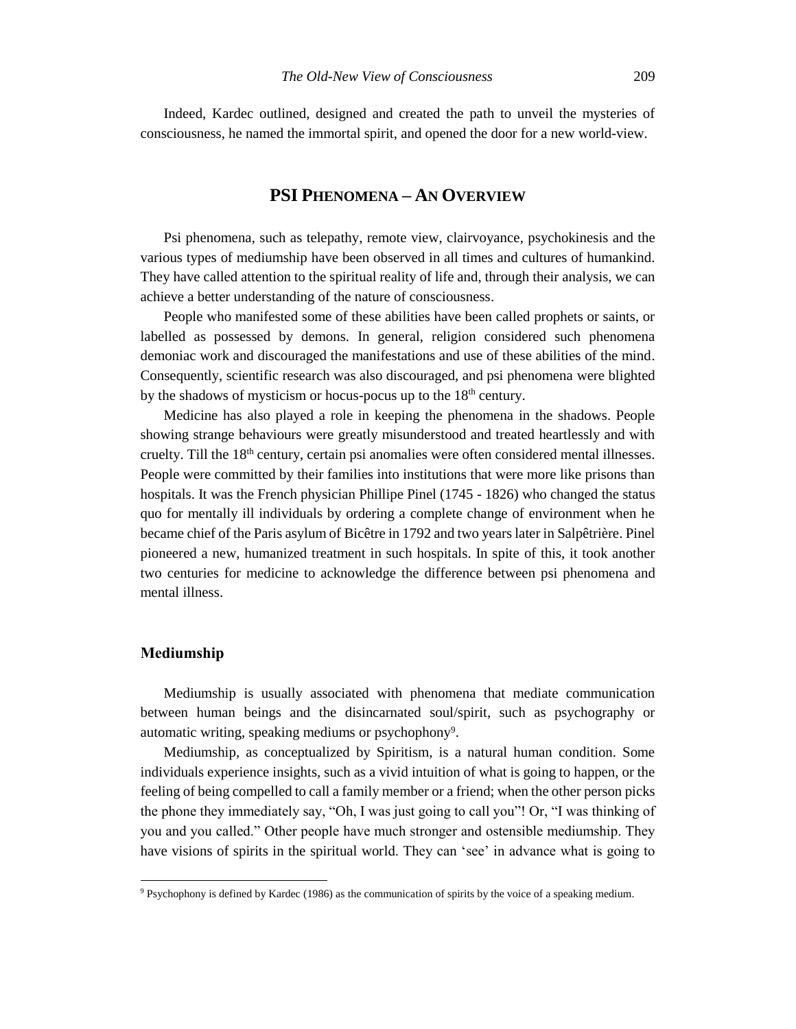Indeed, Kardec outlined, designed and created the path to unveil the mysteries of consciousness, he named the immortal spirit, and opened the door for a new world-view.

# **PSI PHENOMENA – AN OVERVIEW**

Psi phenomena, such as telepathy, remote view, clairvoyance, psychokinesis and the various types of mediumship have been observed in all times and cultures of humankind. They have called attention to the spiritual reality of life and, through their analysis, we can achieve a better understanding of the nature of consciousness.

People who manifested some of these abilities have been called prophets or saints, or labelled as possessed by demons. In general, religion considered such phenomena demoniac work and discouraged the manifestations and use of these abilities of the mind. Consequently, scientific research was also discouraged, and psi phenomena were blighted by the shadows of mysticism or hocus-pocus up to the 18<sup>th</sup> century.

Medicine has also played a role in keeping the phenomena in the shadows. People showing strange behaviours were greatly misunderstood and treated heartlessly and with cruelty. Till the 18<sup>th</sup> century, certain psi anomalies were often considered mental illnesses. People were committed by their families into institutions that were more like prisons than hospitals. It was the French physician Phillipe Pinel (1745 - 1826) who changed the status quo for mentally ill individuals by ordering a complete change of environment when he became chief of the Paris asylum of Bicêtre in 1792 and two years later in Salpêtrière. Pinel pioneered a new, humanized treatment in such hospitals. In spite of this, it took another two centuries for medicine to acknowledge the difference between psi phenomena and mental illness.

# **Mediumship**

l

Mediumship is usually associated with phenomena that mediate communication between human beings and the disincarnated soul/spirit, such as psychography or automatic writing, speaking mediums or psychophony<sup>9</sup>.

Mediumship, as conceptualized by Spiritism, is a natural human condition. Some individuals experience insights, such as a vivid intuition of what is going to happen, or the feeling of being compelled to call a family member or a friend; when the other person picks the phone they immediately say, "Oh, I was just going to call you"! Or, "I was thinking of you and you called." Other people have much stronger and ostensible mediumship. They have visions of spirits in the spiritual world. They can 'see' in advance what is going to

<sup>9</sup> Psychophony is defined by Kardec (1986) as the communication of spirits by the voice of a speaking medium.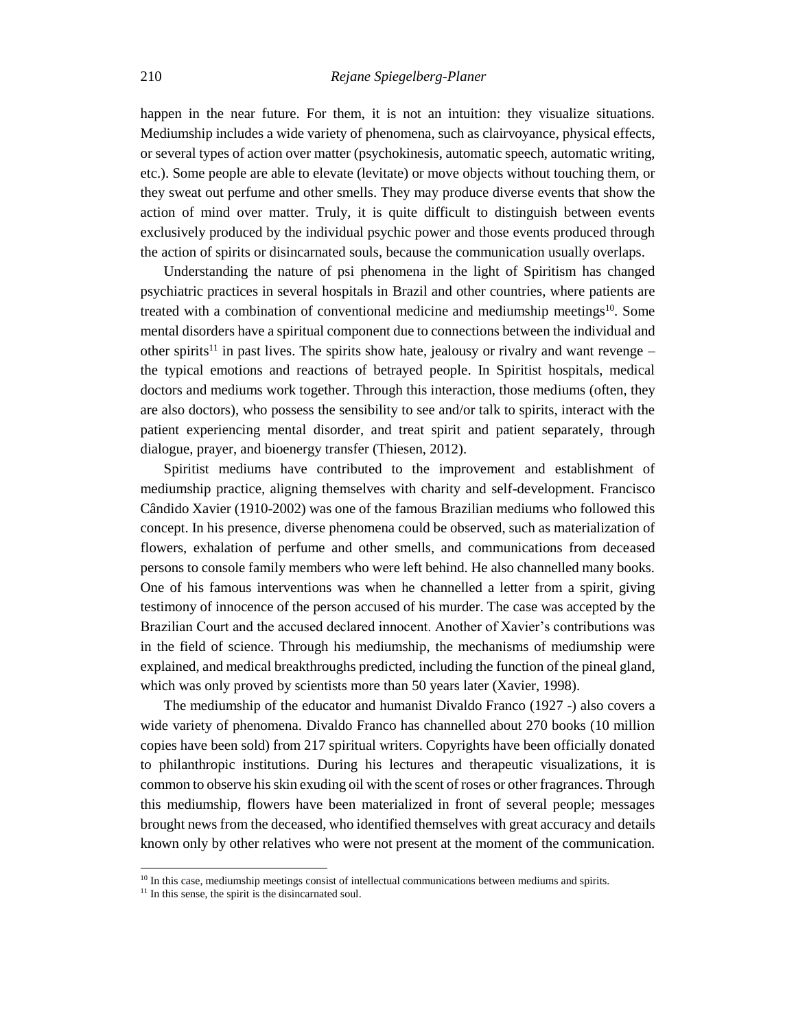happen in the near future. For them, it is not an intuition: they visualize situations. Mediumship includes a wide variety of phenomena, such as clairvoyance, physical effects, or several types of action over matter (psychokinesis, automatic speech, automatic writing, etc.). Some people are able to elevate (levitate) or move objects without touching them, or they sweat out perfume and other smells. They may produce diverse events that show the action of mind over matter. Truly, it is quite difficult to distinguish between events exclusively produced by the individual psychic power and those events produced through the action of spirits or disincarnated souls, because the communication usually overlaps.

Understanding the nature of psi phenomena in the light of Spiritism has changed psychiatric practices in several hospitals in Brazil and other countries, where patients are treated with a combination of conventional medicine and mediumship meetings<sup>10</sup>. Some mental disorders have a spiritual component due to connections between the individual and other spirits<sup>11</sup> in past lives. The spirits show hate, jealousy or rivalry and want revenge – the typical emotions and reactions of betrayed people. In Spiritist hospitals, medical doctors and mediums work together. Through this interaction, those mediums (often, they are also doctors), who possess the sensibility to see and/or talk to spirits, interact with the patient experiencing mental disorder, and treat spirit and patient separately, through dialogue, prayer, and bioenergy transfer (Thiesen, 2012).

Spiritist mediums have contributed to the improvement and establishment of mediumship practice, aligning themselves with charity and self-development. Francisco Cândido Xavier (1910-2002) was one of the famous Brazilian mediums who followed this concept. In his presence, diverse phenomena could be observed, such as materialization of flowers, exhalation of perfume and other smells, and communications from deceased persons to console family members who were left behind. He also channelled many books. One of his famous interventions was when he channelled a letter from a spirit, giving testimony of innocence of the person accused of his murder. The case was accepted by the Brazilian Court and the accused declared innocent. Another of Xavier's contributions was in the field of science. Through his mediumship, the mechanisms of mediumship were explained, and medical breakthroughs predicted, including the function of the pineal gland, which was only proved by scientists more than 50 years later (Xavier, 1998).

The mediumship of the educator and humanist Divaldo Franco (1927 -) also covers a wide variety of phenomena. Divaldo Franco has channelled about 270 books (10 million copies have been sold) from 217 spiritual writers. Copyrights have been officially donated to philanthropic institutions. During his lectures and therapeutic visualizations, it is common to observe his skin exuding oil with the scent of roses or other fragrances. Through this mediumship, flowers have been materialized in front of several people; messages brought news from the deceased, who identified themselves with great accuracy and details known only by other relatives who were not present at the moment of the communication.

 $10$  In this case, mediumship meetings consist of intellectual communications between mediums and spirits.

<sup>&</sup>lt;sup>11</sup> In this sense, the spirit is the disincarnated soul.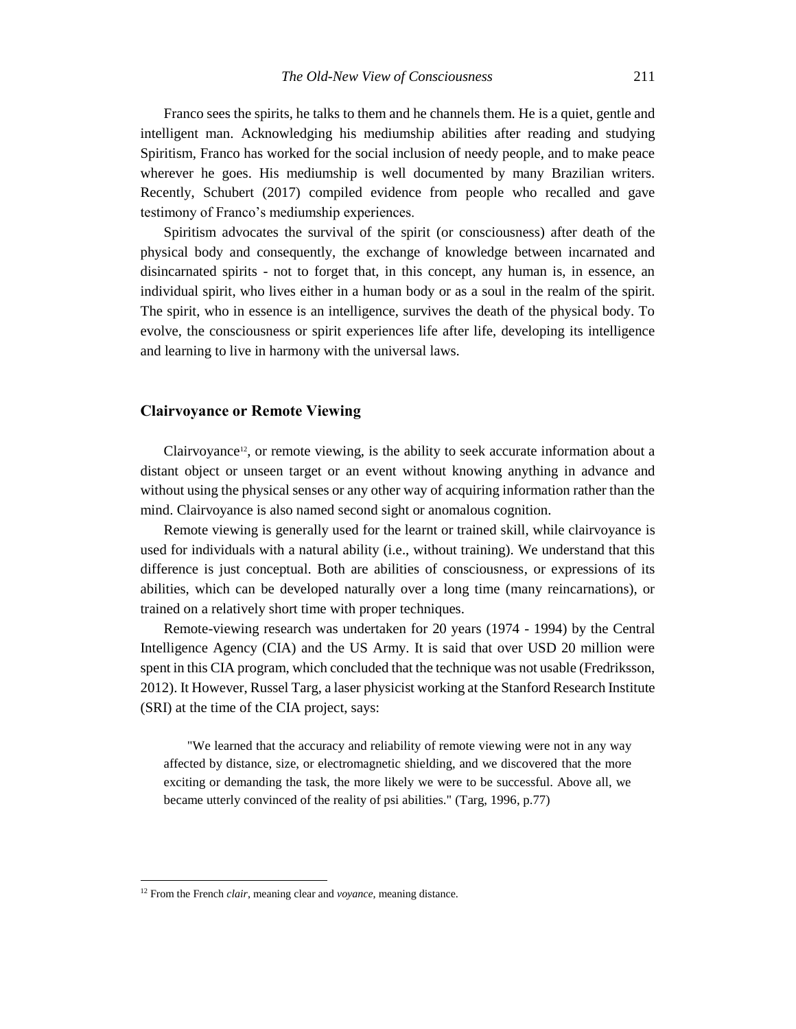Franco sees the spirits, he talks to them and he channels them. He is a quiet, gentle and intelligent man. Acknowledging his mediumship abilities after reading and studying Spiritism, Franco has worked for the social inclusion of needy people, and to make peace wherever he goes. His mediumship is well documented by many Brazilian writers. Recently, Schubert (2017) compiled evidence from people who recalled and gave testimony of Franco's mediumship experiences.

Spiritism advocates the survival of the spirit (or consciousness) after death of the physical body and consequently, the exchange of knowledge between incarnated and disincarnated spirits - not to forget that, in this concept, any human is, in essence, an individual spirit, who lives either in a human body or as a soul in the realm of the spirit. The spirit, who in essence is an intelligence, survives the death of the physical body. To evolve, the consciousness or spirit experiences life after life, developing its intelligence and learning to live in harmony with the universal laws.

#### **Clairvoyance or Remote Viewing**

Clairvoyance<sup>12</sup>, or remote viewing, is the ability to seek accurate information about a distant object or unseen target or an event without knowing anything in advance and without using the physical senses or any other way of acquiring information rather than the mind. Clairvoyance is also named second sight or anomalous cognition.

Remote viewing is generally used for the learnt or trained skill, while clairvoyance is used for individuals with a natural ability (i.e., without training). We understand that this difference is just conceptual. Both are abilities of consciousness, or expressions of its abilities, which can be developed naturally over a long time (many reincarnations), or trained on a relatively short time with proper techniques.

Remote-viewing research was undertaken for 20 years (1974 - 1994) by the Central Intelligence Agency (CIA) and the US Army. It is said that over USD 20 million were spent in this CIA program, which concluded that the technique was not usable (Fredriksson, 2012). It However, Russel Targ, a laser physicist working at the Stanford Research Institute (SRI) at the time of the CIA project, says:

"We learned that the accuracy and reliability of remote viewing were not in any way affected by distance, size, or electromagnetic shielding, and we discovered that the more exciting or demanding the task, the more likely we were to be successful. Above all, we became utterly convinced of the reality of psi abilities." (Targ, 1996, p.77)

<sup>12</sup> From the French *clair*, meaning clear and *voyance*, meaning distance.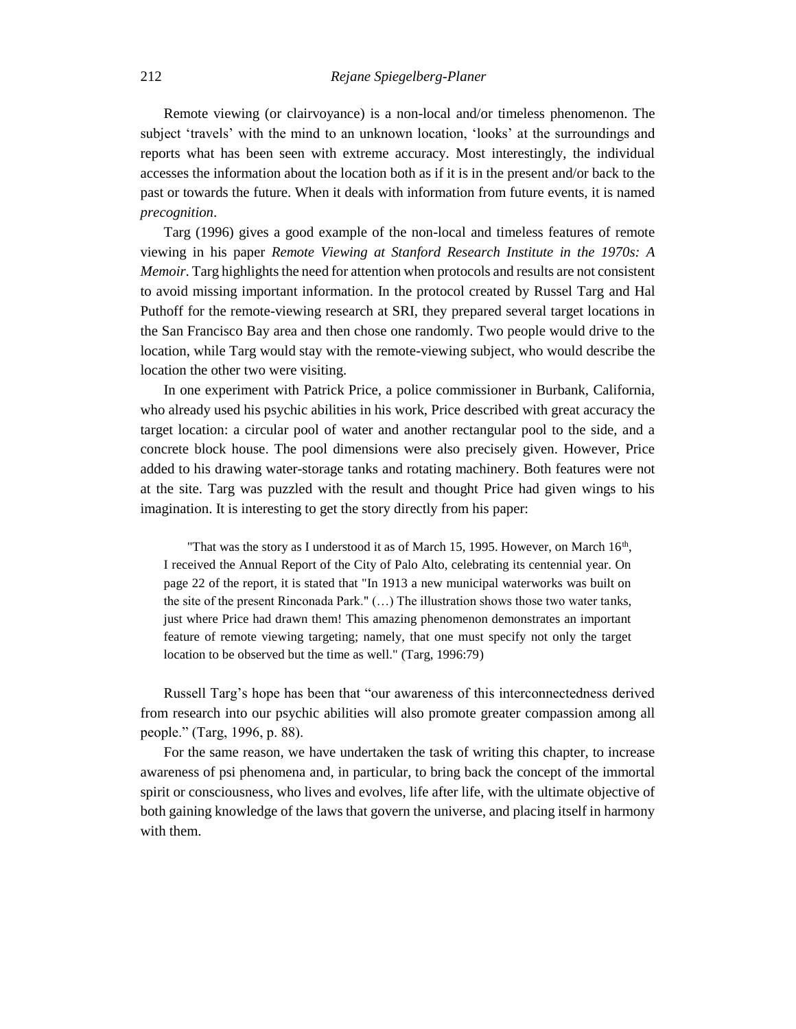Remote viewing (or clairvoyance) is a non-local and/or timeless phenomenon. The subject 'travels' with the mind to an unknown location, 'looks' at the surroundings and reports what has been seen with extreme accuracy. Most interestingly, the individual accesses the information about the location both as if it is in the present and/or back to the past or towards the future. When it deals with information from future events, it is named *precognition*.

Targ (1996) gives a good example of the non-local and timeless features of remote viewing in his paper *Remote Viewing at Stanford Research Institute in the 1970s: A Memoir*. Targ highlights the need for attention when protocols and results are not consistent to avoid missing important information. In the protocol created by Russel Targ and Hal Puthoff for the remote-viewing research at SRI, they prepared several target locations in the San Francisco Bay area and then chose one randomly. Two people would drive to the location, while Targ would stay with the remote-viewing subject, who would describe the location the other two were visiting.

In one experiment with Patrick Price, a police commissioner in Burbank, California, who already used his psychic abilities in his work, Price described with great accuracy the target location: a circular pool of water and another rectangular pool to the side, and a concrete block house. The pool dimensions were also precisely given. However, Price added to his drawing water-storage tanks and rotating machinery. Both features were not at the site. Targ was puzzled with the result and thought Price had given wings to his imagination. It is interesting to get the story directly from his paper:

"That was the story as I understood it as of March 15, 1995. However, on March  $16<sup>th</sup>$ , I received the Annual Report of the City of Palo Alto, celebrating its centennial year. On page 22 of the report, it is stated that "In 1913 a new municipal waterworks was built on the site of the present Rinconada Park." (…) The illustration shows those two water tanks, just where Price had drawn them! This amazing phenomenon demonstrates an important feature of remote viewing targeting; namely, that one must specify not only the target location to be observed but the time as well." (Targ, 1996:79)

Russell Targ's hope has been that "our awareness of this interconnectedness derived from research into our psychic abilities will also promote greater compassion among all people." (Targ, 1996, p. 88).

For the same reason, we have undertaken the task of writing this chapter, to increase awareness of psi phenomena and, in particular, to bring back the concept of the immortal spirit or consciousness, who lives and evolves, life after life, with the ultimate objective of both gaining knowledge of the laws that govern the universe, and placing itself in harmony with them.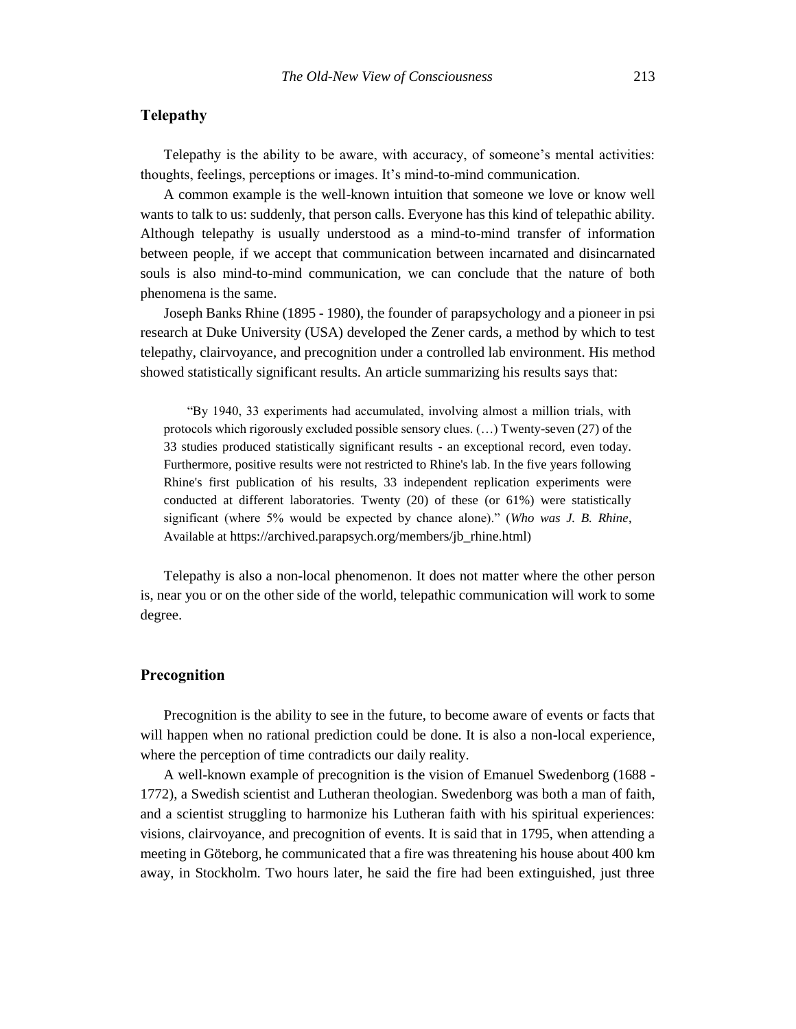# **Telepathy**

Telepathy is the ability to be aware, with accuracy, of someone's mental activities: thoughts, feelings, perceptions or images. It's mind-to-mind communication.

A common example is the well-known intuition that someone we love or know well wants to talk to us: suddenly, that person calls. Everyone has this kind of telepathic ability. Although telepathy is usually understood as a mind-to-mind transfer of information between people, if we accept that communication between incarnated and disincarnated souls is also mind-to-mind communication, we can conclude that the nature of both phenomena is the same.

Joseph Banks Rhine (1895 - 1980), the founder of parapsychology and a pioneer in psi research at Duke University (USA) developed the Zener cards, a method by which to test telepathy, clairvoyance, and precognition under a controlled lab environment. His method showed statistically significant results. An article summarizing his results says that:

"By 1940, 33 experiments had accumulated, involving almost a million trials, with protocols which rigorously excluded possible sensory clues. (…) Twenty-seven (27) of the 33 studies produced statistically significant results - an exceptional record, even today. Furthermore, positive results were not restricted to Rhine's lab. In the five years following Rhine's first publication of his results, 33 independent replication experiments were conducted at different laboratories. Twenty (20) of these (or 61%) were statistically significant (where 5% would be expected by chance alone)." (*Who was J. B. Rhine*, Available at https://archived.parapsych.org/members/jb\_rhine.html)

Telepathy is also a non-local phenomenon. It does not matter where the other person is, near you or on the other side of the world, telepathic communication will work to some degree.

#### **Precognition**

Precognition is the ability to see in the future, to become aware of events or facts that will happen when no rational prediction could be done. It is also a non-local experience, where the perception of time contradicts our daily reality.

A well-known example of precognition is the vision of Emanuel Swedenborg (1688 - 1772), a Swedish scientist and Lutheran theologian. Swedenborg was both a man of faith, and a scientist struggling to harmonize his Lutheran faith with his spiritual experiences: visions, clairvoyance, and precognition of events. It is said that in 1795, when attending a meeting in Göteborg, he communicated that a fire was threatening his house about 400 km away, in Stockholm. Two hours later, he said the fire had been extinguished, just three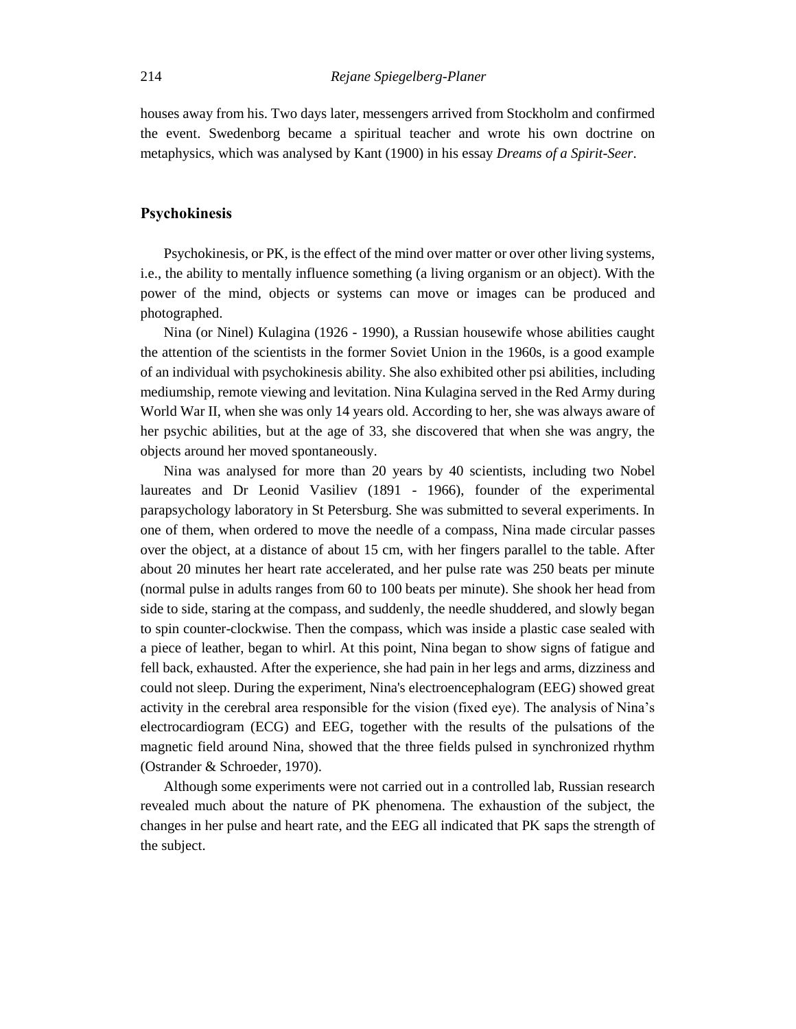houses away from his. Two days later, messengers arrived from Stockholm and confirmed the event. Swedenborg became a spiritual teacher and wrote his own doctrine on metaphysics, which was analysed by Kant (1900) in his essay *Dreams of a Spirit-Seer*.

# **Psychokinesis**

Psychokinesis, or PK, is the effect of the mind over matter or over other living systems, i.e., the ability to mentally influence something (a living organism or an object). With the power of the mind, objects or systems can move or images can be produced and photographed.

Nina (or Ninel) Kulagina (1926 - 1990), a Russian housewife whose abilities caught the attention of the scientists in the former Soviet Union in the 1960s, is a good example of an individual with psychokinesis ability. She also exhibited other psi abilities, including mediumship, remote viewing and levitation. Nina Kulagina served in the Red Army during World War II, when she was only 14 years old. According to her, she was always aware of her psychic abilities, but at the age of 33, she discovered that when she was angry, the objects around her moved spontaneously.

Nina was analysed for more than 20 years by 40 scientists, including two Nobel laureates and Dr Leonid Vasiliev (1891 - 1966), founder of the experimental parapsychology laboratory in St Petersburg. She was submitted to several experiments. In one of them, when ordered to move the needle of a compass, Nina made circular passes over the object, at a distance of about 15 cm, with her fingers parallel to the table. After about 20 minutes her heart rate accelerated, and her pulse rate was 250 beats per minute (normal pulse in adults ranges from 60 to 100 beats per minute). She shook her head from side to side, staring at the compass, and suddenly, the needle shuddered, and slowly began to spin counter-clockwise. Then the compass, which was inside a plastic case sealed with a piece of leather, began to whirl. At this point, Nina began to show signs of fatigue and fell back, exhausted. After the experience, she had pain in her legs and arms, dizziness and could not sleep. During the experiment, Nina's electroencephalogram (EEG) showed great activity in the cerebral area responsible for the vision (fixed eye). The analysis of Nina's electrocardiogram (ECG) and EEG, together with the results of the pulsations of the magnetic field around Nina, showed that the three fields pulsed in synchronized rhythm (Ostrander & Schroeder, 1970).

Although some experiments were not carried out in a controlled lab, Russian research revealed much about the nature of PK phenomena. The exhaustion of the subject, the changes in her pulse and heart rate, and the EEG all indicated that PK saps the strength of the subject.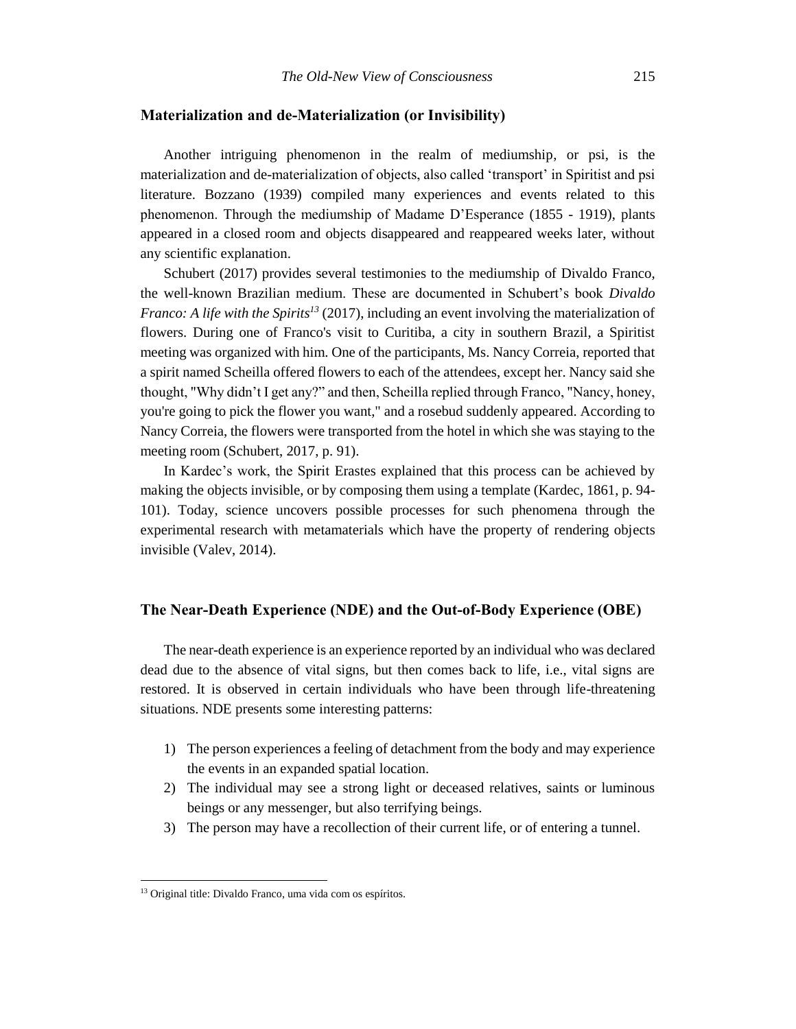# **Materialization and de-Materialization (or Invisibility)**

Another intriguing phenomenon in the realm of mediumship, or psi, is the materialization and de-materialization of objects, also called 'transport' in Spiritist and psi literature. Bozzano (1939) compiled many experiences and events related to this phenomenon. Through the mediumship of Madame D'Esperance (1855 - 1919), plants appeared in a closed room and objects disappeared and reappeared weeks later, without any scientific explanation.

Schubert (2017) provides several testimonies to the mediumship of Divaldo Franco, the well-known Brazilian medium. These are documented in Schubert's book *Divaldo Franco: A life with the Spirits<sup>13</sup>* (2017), including an event involving the materialization of flowers. During one of Franco's visit to Curitiba, a city in southern Brazil, a Spiritist meeting was organized with him. One of the participants, Ms. Nancy Correia, reported that a spirit named Scheilla offered flowers to each of the attendees, except her. Nancy said she thought, "Why didn't I get any?" and then, Scheilla replied through Franco, "Nancy, honey, you're going to pick the flower you want," and a rosebud suddenly appeared. According to Nancy Correia, the flowers were transported from the hotel in which she was staying to the meeting room (Schubert, 2017, p. 91).

In Kardec's work, the Spirit Erastes explained that this process can be achieved by making the objects invisible, or by composing them using a template (Kardec, 1861, p. 94- 101). Today, science uncovers possible processes for such phenomena through the experimental research with metamaterials which have the property of rendering objects invisible (Valev, 2014).

# **The Near-Death Experience (NDE) and the Out-of-Body Experience (OBE)**

The near-death experience is an experience reported by an individual who was declared dead due to the absence of vital signs, but then comes back to life, i.e., vital signs are restored. It is observed in certain individuals who have been through life-threatening situations. NDE presents some interesting patterns:

- 1) The person experiences a feeling of detachment from the body and may experience the events in an expanded spatial location.
- 2) The individual may see a strong light or deceased relatives, saints or luminous beings or any messenger, but also terrifying beings.
- 3) The person may have a recollection of their current life, or of entering a tunnel.

<sup>&</sup>lt;sup>13</sup> Original title: Divaldo Franco, uma vida com os espíritos.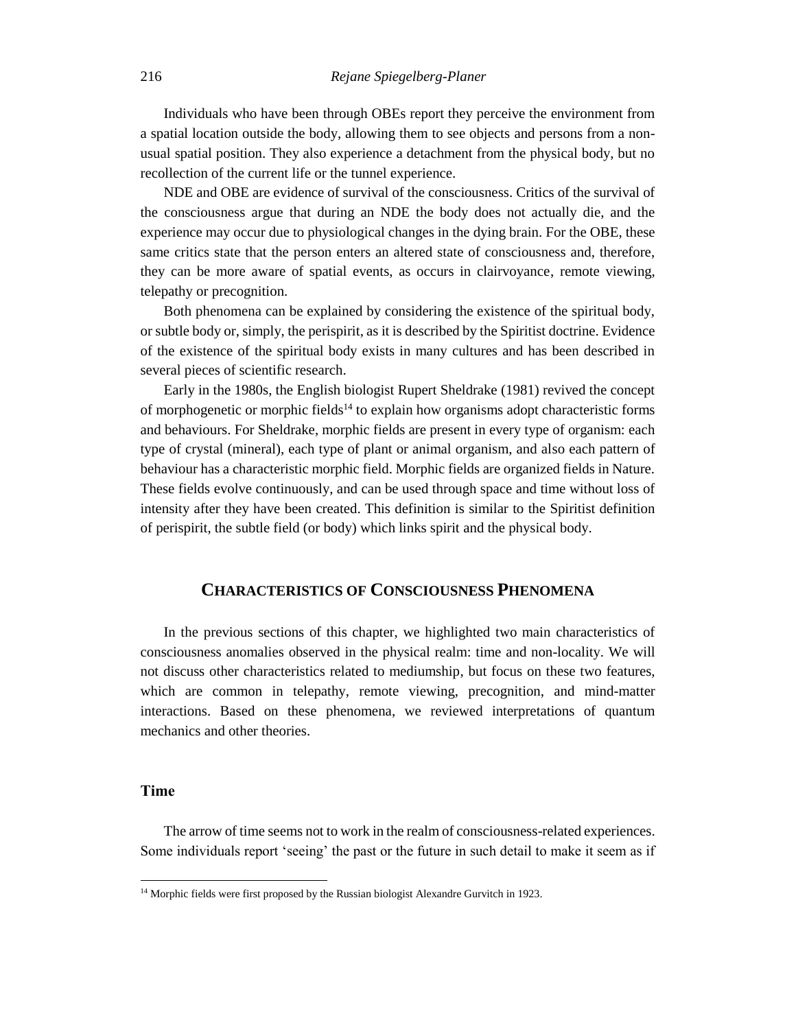Individuals who have been through OBEs report they perceive the environment from a spatial location outside the body, allowing them to see objects and persons from a nonusual spatial position. They also experience a detachment from the physical body, but no recollection of the current life or the tunnel experience.

NDE and OBE are evidence of survival of the consciousness. Critics of the survival of the consciousness argue that during an NDE the body does not actually die, and the experience may occur due to physiological changes in the dying brain. For the OBE, these same critics state that the person enters an altered state of consciousness and, therefore, they can be more aware of spatial events, as occurs in clairvoyance, remote viewing, telepathy or precognition.

Both phenomena can be explained by considering the existence of the spiritual body, or subtle body or, simply, the perispirit, as it is described by the Spiritist doctrine. Evidence of the existence of the spiritual body exists in many cultures and has been described in several pieces of scientific research.

Early in the 1980s, the English biologist Rupert Sheldrake (1981) revived the concept of morphogenetic or morphic fields<sup>14</sup> to explain how organisms adopt characteristic forms and behaviours. For Sheldrake, morphic fields are present in every type of organism: each type of crystal (mineral), each type of plant or animal organism, and also each pattern of behaviour has a characteristic morphic field. Morphic fields are organized fields in Nature. These fields evolve continuously, and can be used through space and time without loss of intensity after they have been created. This definition is similar to the Spiritist definition of perispirit, the subtle field (or body) which links spirit and the physical body.

# **CHARACTERISTICS OF CONSCIOUSNESS PHENOMENA**

In the previous sections of this chapter, we highlighted two main characteristics of consciousness anomalies observed in the physical realm: time and non-locality. We will not discuss other characteristics related to mediumship, but focus on these two features, which are common in telepathy, remote viewing, precognition, and mind-matter interactions. Based on these phenomena, we reviewed interpretations of quantum mechanics and other theories.

### **Time**

l

The arrow of time seems not to work in the realm of consciousness-related experiences. Some individuals report 'seeing' the past or the future in such detail to make it seem as if

<sup>&</sup>lt;sup>14</sup> Morphic fields were first proposed by the Russian biologist Alexandre Gurvitch in 1923.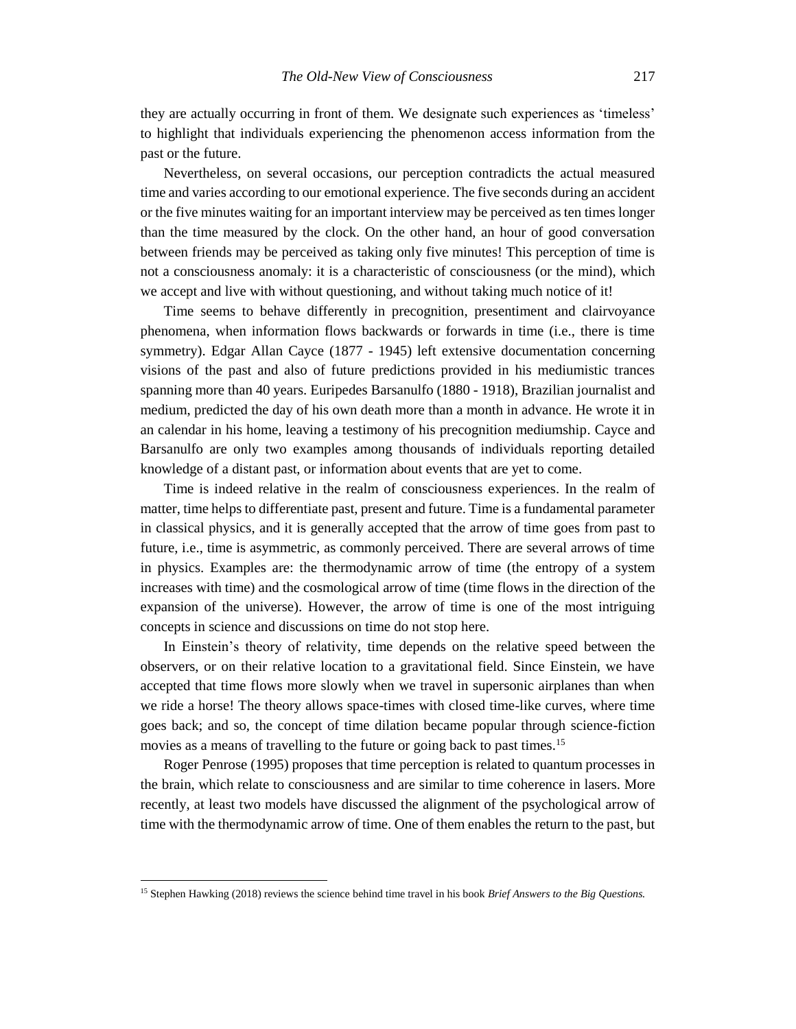they are actually occurring in front of them. We designate such experiences as 'timeless' to highlight that individuals experiencing the phenomenon access information from the past or the future.

Nevertheless, on several occasions, our perception contradicts the actual measured time and varies according to our emotional experience. The five seconds during an accident or the five minutes waiting for an important interview may be perceived as ten times longer than the time measured by the clock. On the other hand, an hour of good conversation between friends may be perceived as taking only five minutes! This perception of time is not a consciousness anomaly: it is a characteristic of consciousness (or the mind), which we accept and live with without questioning, and without taking much notice of it!

Time seems to behave differently in precognition, presentiment and clairvoyance phenomena, when information flows backwards or forwards in time (i.e., there is time symmetry). Edgar Allan Cayce (1877 - 1945) left extensive documentation concerning visions of the past and also of future predictions provided in his mediumistic trances spanning more than 40 years. Euripedes Barsanulfo (1880 - 1918), Brazilian journalist and medium, predicted the day of his own death more than a month in advance. He wrote it in an calendar in his home, leaving a testimony of his precognition mediumship. Cayce and Barsanulfo are only two examples among thousands of individuals reporting detailed knowledge of a distant past, or information about events that are yet to come.

Time is indeed relative in the realm of consciousness experiences. In the realm of matter, time helps to differentiate past, present and future. Time is a fundamental parameter in classical physics, and it is generally accepted that the arrow of time goes from past to future, i.e., time is asymmetric, as commonly perceived. There are several arrows of time in physics. Examples are: the thermodynamic arrow of time (the entropy of a system increases with time) and the cosmological arrow of time (time flows in the direction of the expansion of the universe). However, the arrow of time is one of the most intriguing concepts in science and discussions on time do not stop here.

In Einstein's theory of relativity, time depends on the relative speed between the observers, or on their relative location to a gravitational field. Since Einstein, we have accepted that time flows more slowly when we travel in supersonic airplanes than when we ride a horse! The theory allows space-times with closed time-like curves, where time goes back; and so, the concept of time dilation became popular through science-fiction movies as a means of travelling to the future or going back to past times.<sup>15</sup>

Roger Penrose (1995) proposes that time perception is related to quantum processes in the brain, which relate to consciousness and are similar to time coherence in lasers. More recently, at least two models have discussed the alignment of the psychological arrow of time with the thermodynamic arrow of time. One of them enables the return to the past, but

<sup>15</sup> Stephen Hawking (2018) reviews the science behind time travel in his book *Brief Answers to the Big Questions.*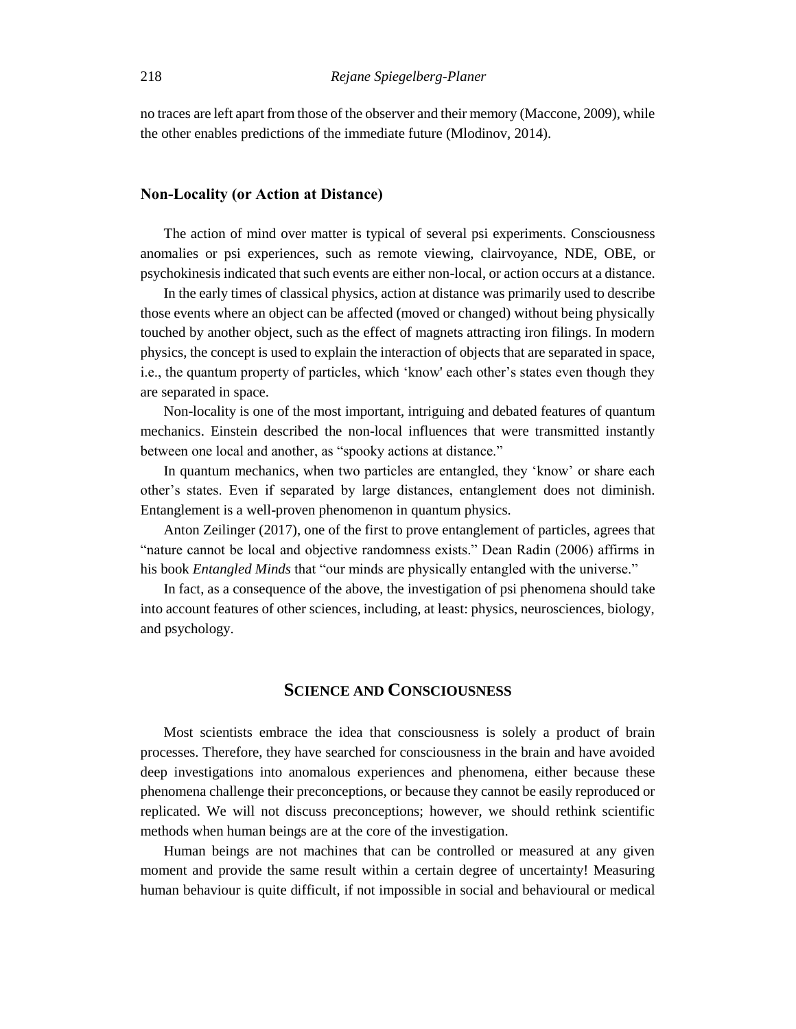no traces are left apart from those of the observer and their memory (Maccone, 2009), while the other enables predictions of the immediate future (Mlodinov, 2014).

#### **Non-Locality (or Action at Distance)**

The action of mind over matter is typical of several psi experiments. Consciousness anomalies or psi experiences, such as remote viewing, clairvoyance, NDE, OBE, or psychokinesis indicated that such events are either non-local, or action occurs at a distance.

In the early times of classical physics, action at distance was primarily used to describe those events where an object can be affected (moved or changed) without being physically touched by another object, such as the effect of magnets attracting iron filings. In modern physics, the concept is used to explain the interaction of objects that are separated in space, i.e., the quantum property of particles, which 'know' each other's states even though they are separated in space.

Non-locality is one of the most important, intriguing and debated features of quantum mechanics. Einstein described the non-local influences that were transmitted instantly between one local and another, as "spooky actions at distance."

In quantum mechanics, when two particles are entangled, they 'know' or share each other's states. Even if separated by large distances, entanglement does not diminish. Entanglement is a well-proven phenomenon in quantum physics.

Anton Zeilinger (2017), one of the first to prove entanglement of particles, agrees that "nature cannot be local and objective randomness exists." Dean Radin (2006) affirms in his book *Entangled Minds* that "our minds are physically entangled with the universe."

In fact, as a consequence of the above, the investigation of psi phenomena should take into account features of other sciences, including, at least: physics, neurosciences, biology, and psychology.

# **SCIENCE AND CONSCIOUSNESS**

Most scientists embrace the idea that consciousness is solely a product of brain processes. Therefore, they have searched for consciousness in the brain and have avoided deep investigations into anomalous experiences and phenomena, either because these phenomena challenge their preconceptions, or because they cannot be easily reproduced or replicated. We will not discuss preconceptions; however, we should rethink scientific methods when human beings are at the core of the investigation.

Human beings are not machines that can be controlled or measured at any given moment and provide the same result within a certain degree of uncertainty! Measuring human behaviour is quite difficult, if not impossible in social and behavioural or medical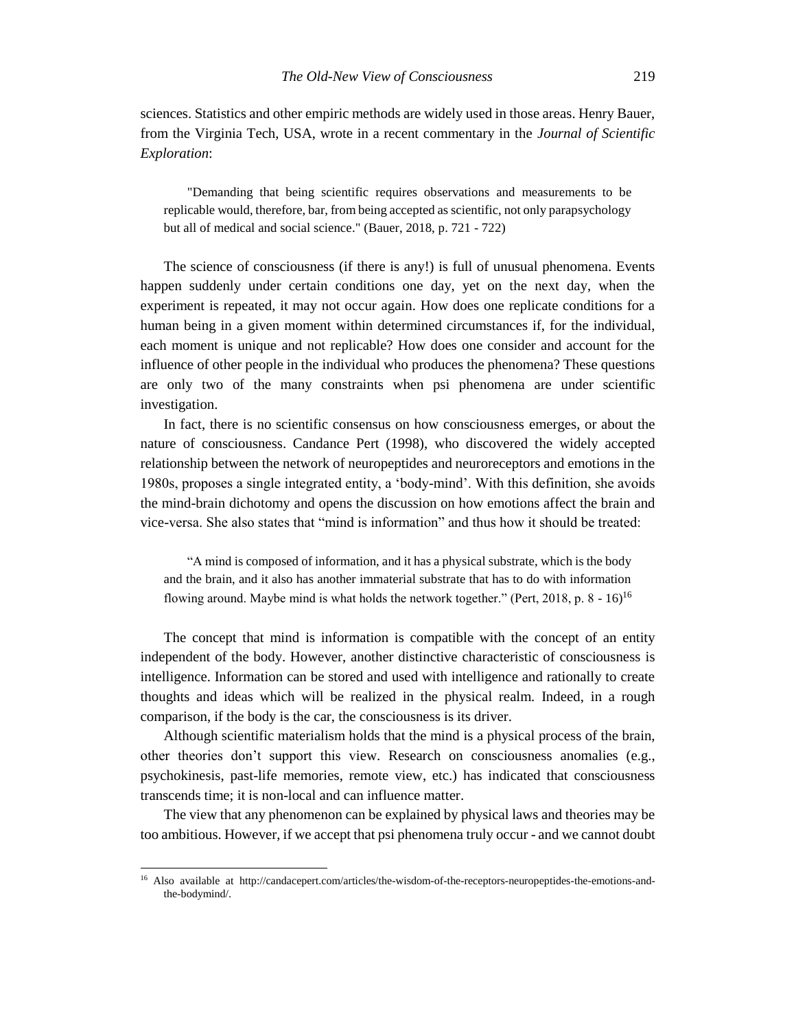sciences. Statistics and other empiric methods are widely used in those areas. Henry Bauer, from the Virginia Tech, USA, wrote in a recent commentary in the *Journal of Scientific Exploration*:

"Demanding that being scientific requires observations and measurements to be replicable would, therefore, bar, from being accepted as scientific, not only parapsychology but all of medical and social science." (Bauer, 2018, p. 721 - 722)

The science of consciousness (if there is any!) is full of unusual phenomena. Events happen suddenly under certain conditions one day, yet on the next day, when the experiment is repeated, it may not occur again. How does one replicate conditions for a human being in a given moment within determined circumstances if, for the individual, each moment is unique and not replicable? How does one consider and account for the influence of other people in the individual who produces the phenomena? These questions are only two of the many constraints when psi phenomena are under scientific investigation.

In fact, there is no scientific consensus on how consciousness emerges, or about the nature of consciousness. Candance Pert (1998), who discovered the widely accepted relationship between the network of neuropeptides and neuroreceptors and emotions in the 1980s, proposes a single integrated entity, a 'body-mind'. With this definition, she avoids the mind-brain dichotomy and opens the discussion on how emotions affect the brain and vice-versa. She also states that "mind is information" and thus how it should be treated:

"A mind is composed of information, and it has a physical substrate, which is the body and the brain, and it also has another immaterial substrate that has to do with information flowing around. Maybe mind is what holds the network together." (Pert, 2018, p.  $8 - 16$ )<sup>16</sup>

The concept that mind is information is compatible with the concept of an entity independent of the body. However, another distinctive characteristic of consciousness is intelligence. Information can be stored and used with intelligence and rationally to create thoughts and ideas which will be realized in the physical realm. Indeed, in a rough comparison, if the body is the car, the consciousness is its driver.

Although scientific materialism holds that the mind is a physical process of the brain, other theories don't support this view. Research on consciousness anomalies (e.g., psychokinesis, past-life memories, remote view, etc.) has indicated that consciousness transcends time; it is non-local and can influence matter.

The view that any phenomenon can be explained by physical laws and theories may be too ambitious. However, if we accept that psi phenomena truly occur - and we cannot doubt

<sup>16</sup> Also available at http://candacepert.com/articles/the-wisdom-of-the-receptors-neuropeptides-the-emotions-andthe-bodymind/.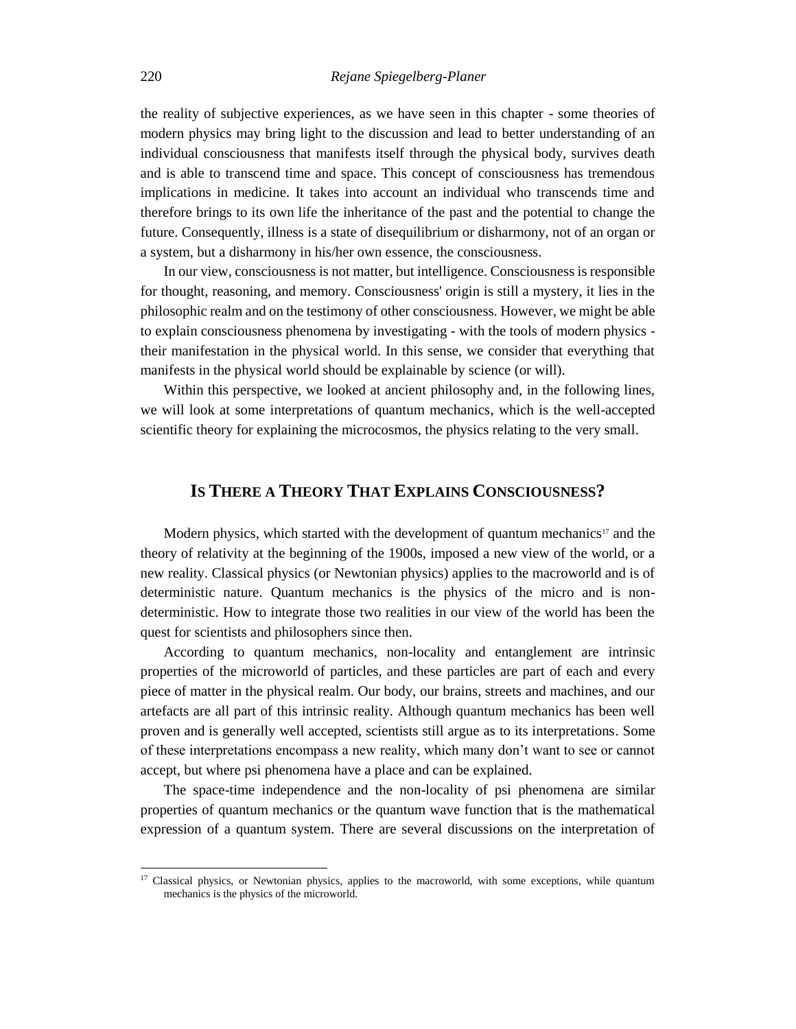the reality of subjective experiences, as we have seen in this chapter - some theories of modern physics may bring light to the discussion and lead to better understanding of an individual consciousness that manifests itself through the physical body, survives death and is able to transcend time and space. This concept of consciousness has tremendous implications in medicine. It takes into account an individual who transcends time and therefore brings to its own life the inheritance of the past and the potential to change the future. Consequently, illness is a state of disequilibrium or disharmony, not of an organ or a system, but a disharmony in his/her own essence, the consciousness.

In our view, consciousness is not matter, but intelligence. Consciousness is responsible for thought, reasoning, and memory. Consciousness' origin is still a mystery, it lies in the philosophic realm and on the testimony of other consciousness. However, we might be able to explain consciousness phenomena by investigating - with the tools of modern physics their manifestation in the physical world. In this sense, we consider that everything that manifests in the physical world should be explainable by science (or will).

Within this perspective, we looked at ancient philosophy and, in the following lines, we will look at some interpretations of quantum mechanics, which is the well-accepted scientific theory for explaining the microcosmos, the physics relating to the very small.

# **IS THERE A THEORY THAT EXPLAINS CONSCIOUSNESS?**

Modern physics, which started with the development of quantum mechanics<sup>17</sup> and the theory of relativity at the beginning of the 1900s, imposed a new view of the world, or a new reality. Classical physics (or Newtonian physics) applies to the macroworld and is of deterministic nature. Quantum mechanics is the physics of the micro and is nondeterministic. How to integrate those two realities in our view of the world has been the quest for scientists and philosophers since then.

According to quantum mechanics, non-locality and entanglement are intrinsic properties of the microworld of particles, and these particles are part of each and every piece of matter in the physical realm. Our body, our brains, streets and machines, and our artefacts are all part of this intrinsic reality. Although quantum mechanics has been well proven and is generally well accepted, scientists still argue as to its interpretations. Some of these interpretations encompass a new reality, which many don't want to see or cannot accept, but where psi phenomena have a place and can be explained.

The space-time independence and the non-locality of psi phenomena are similar properties of quantum mechanics or the quantum wave function that is the mathematical expression of a quantum system. There are several discussions on the interpretation of

<sup>&</sup>lt;sup>17</sup> Classical physics, or Newtonian physics, applies to the macroworld, with some exceptions, while quantum mechanics is the physics of the microworld.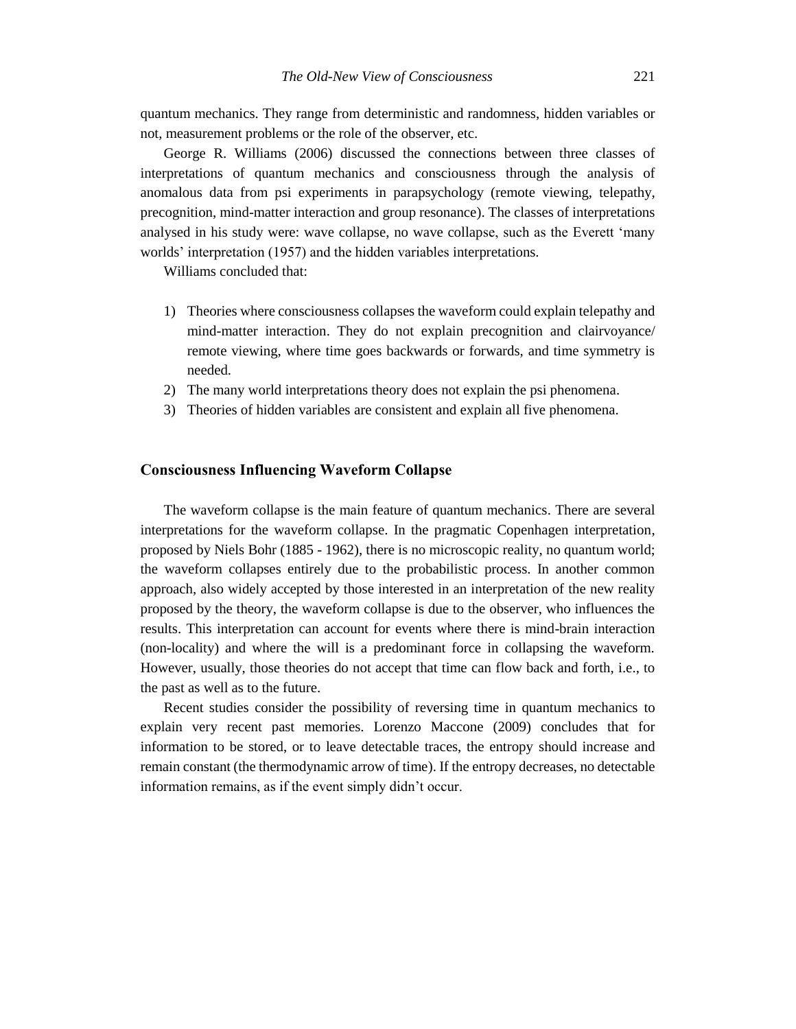quantum mechanics. They range from deterministic and randomness, hidden variables or not, measurement problems or the role of the observer, etc.

George R. Williams (2006) discussed the connections between three classes of interpretations of quantum mechanics and consciousness through the analysis of anomalous data from psi experiments in parapsychology (remote viewing, telepathy, precognition, mind-matter interaction and group resonance). The classes of interpretations analysed in his study were: wave collapse, no wave collapse, such as the Everett 'many worlds' interpretation (1957) and the hidden variables interpretations.

Williams concluded that:

- 1) Theories where consciousness collapses the waveform could explain telepathy and mind-matter interaction. They do not explain precognition and clairvoyance/ remote viewing, where time goes backwards or forwards, and time symmetry is needed.
- 2) The many world interpretations theory does not explain the psi phenomena.
- 3) Theories of hidden variables are consistent and explain all five phenomena.

# **Consciousness Influencing Waveform Collapse**

The waveform collapse is the main feature of quantum mechanics. There are several interpretations for the waveform collapse. In the pragmatic Copenhagen interpretation, proposed by Niels Bohr (1885 - 1962), there is no microscopic reality, no quantum world; the waveform collapses entirely due to the probabilistic process. In another common approach, also widely accepted by those interested in an interpretation of the new reality proposed by the theory, the waveform collapse is due to the observer, who influences the results. This interpretation can account for events where there is mind-brain interaction (non-locality) and where the will is a predominant force in collapsing the waveform. However, usually, those theories do not accept that time can flow back and forth, i.e., to the past as well as to the future.

Recent studies consider the possibility of reversing time in quantum mechanics to explain very recent past memories. Lorenzo Maccone (2009) concludes that for information to be stored, or to leave detectable traces, the entropy should increase and remain constant (the thermodynamic arrow of time). If the entropy decreases, no detectable information remains, as if the event simply didn't occur.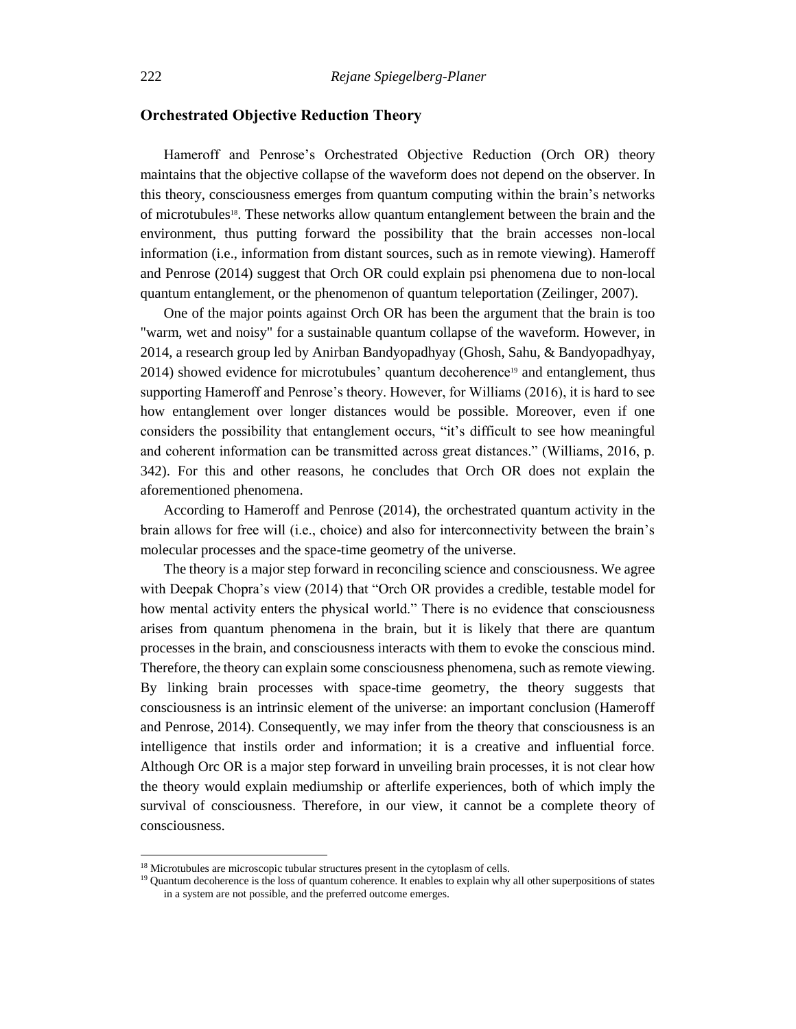# **Orchestrated Objective Reduction Theory**

Hameroff and Penrose's Orchestrated Objective Reduction (Orch OR) theory maintains that the objective collapse of the waveform does not depend on the observer. In this theory, consciousness emerges from quantum computing within the brain's networks of microtubules<sup>18</sup>. These networks allow quantum entanglement between the brain and the environment, thus putting forward the possibility that the brain accesses non-local information (i.e., information from distant sources, such as in remote viewing). Hameroff and Penrose (2014) suggest that Orch OR could explain psi phenomena due to non-local quantum entanglement, or the phenomenon of quantum teleportation (Zeilinger, 2007).

One of the major points against Orch OR has been the argument that the brain is too "warm, wet and noisy" for a sustainable quantum collapse of the waveform. However, in 2014, a research group led by Anirban Bandyopadhyay (Ghosh, Sahu, & Bandyopadhyay, 2014) showed evidence for microtubules' quantum decoherence<sup>19</sup> and entanglement, thus supporting Hameroff and Penrose's theory. However, for Williams (2016), it is hard to see how entanglement over longer distances would be possible. Moreover, even if one considers the possibility that entanglement occurs, "it's difficult to see how meaningful and coherent information can be transmitted across great distances." (Williams, 2016, p. 342). For this and other reasons, he concludes that Orch OR does not explain the aforementioned phenomena.

According to Hameroff and Penrose (2014), the orchestrated quantum activity in the brain allows for free will (i.e., choice) and also for interconnectivity between the brain's molecular processes and the space-time geometry of the universe.

The theory is a major step forward in reconciling science and consciousness. We agree with Deepak Chopra's view (2014) that "Orch OR provides a credible, testable model for how mental activity enters the physical world." There is no evidence that consciousness arises from quantum phenomena in the brain, but it is likely that there are quantum processes in the brain, and consciousness interacts with them to evoke the conscious mind. Therefore, the theory can explain some consciousness phenomena, such as remote viewing. By linking brain processes with space-time geometry, the theory suggests that consciousness is an intrinsic element of the universe: an important conclusion (Hameroff and Penrose, 2014). Consequently, we may infer from the theory that consciousness is an intelligence that instils order and information; it is a creative and influential force. Although Orc OR is a major step forward in unveiling brain processes, it is not clear how the theory would explain mediumship or afterlife experiences, both of which imply the survival of consciousness. Therefore, in our view, it cannot be a complete theory of consciousness.

<sup>&</sup>lt;sup>18</sup> Microtubules are microscopic tubular structures present in the cytoplasm of cells.

<sup>&</sup>lt;sup>19</sup> Quantum decoherence is the loss of quantum coherence. It enables to explain why all other superpositions of states in a system are not possible, and the preferred outcome emerges.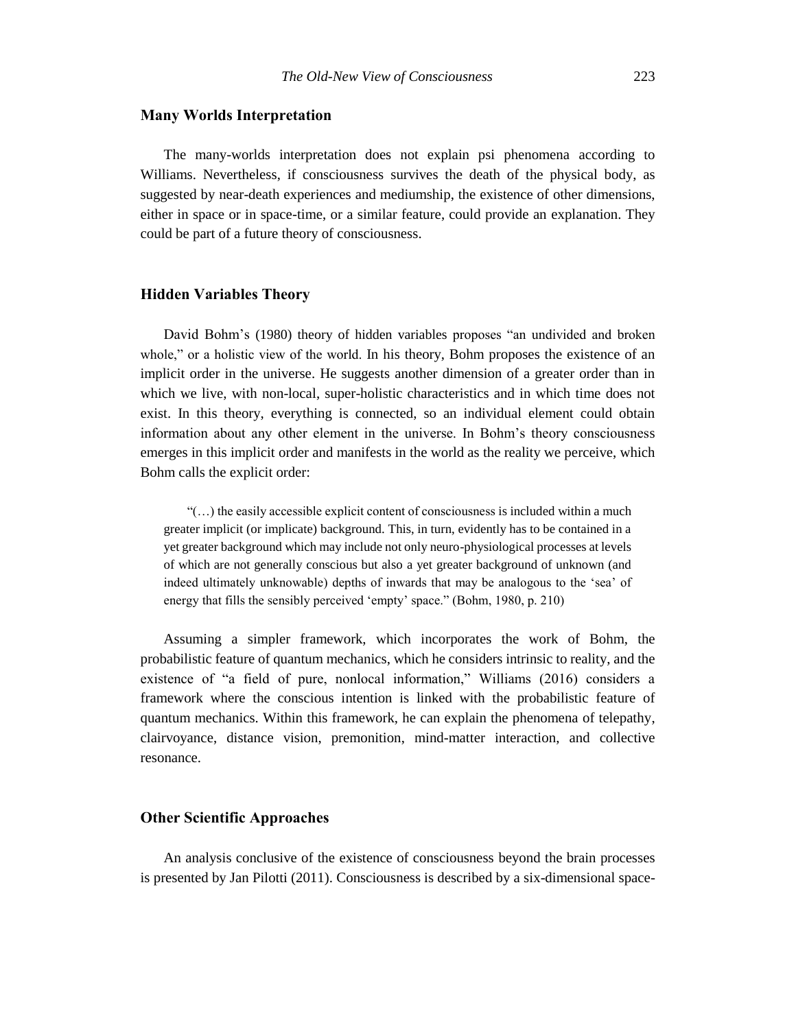#### **Many Worlds Interpretation**

The many-worlds interpretation does not explain psi phenomena according to Williams. Nevertheless, if consciousness survives the death of the physical body, as suggested by near-death experiences and mediumship, the existence of other dimensions, either in space or in space-time, or a similar feature, could provide an explanation. They could be part of a future theory of consciousness.

#### **Hidden Variables Theory**

David Bohm's (1980) theory of hidden variables proposes "an undivided and broken whole," or a holistic view of the world. In his theory, Bohm proposes the existence of an implicit order in the universe. He suggests another dimension of a greater order than in which we live, with non-local, super-holistic characteristics and in which time does not exist. In this theory, everything is connected, so an individual element could obtain information about any other element in the universe. In Bohm's theory consciousness emerges in this implicit order and manifests in the world as the reality we perceive, which Bohm calls the explicit order:

 $\mathcal{C}(\ldots)$  the easily accessible explicit content of consciousness is included within a much greater implicit (or implicate) background. This, in turn, evidently has to be contained in a yet greater background which may include not only neuro-physiological processes at levels of which are not generally conscious but also a yet greater background of unknown (and indeed ultimately unknowable) depths of inwards that may be analogous to the 'sea' of energy that fills the sensibly perceived 'empty' space." (Bohm, 1980, p. 210)

Assuming a simpler framework, which incorporates the work of Bohm, the probabilistic feature of quantum mechanics, which he considers intrinsic to reality, and the existence of "a field of pure, nonlocal information," Williams (2016) considers a framework where the conscious intention is linked with the probabilistic feature of quantum mechanics. Within this framework, he can explain the phenomena of telepathy, clairvoyance, distance vision, premonition, mind-matter interaction, and collective resonance.

# **Other Scientific Approaches**

An analysis conclusive of the existence of consciousness beyond the brain processes is presented by Jan Pilotti (2011). Consciousness is described by a six-dimensional space-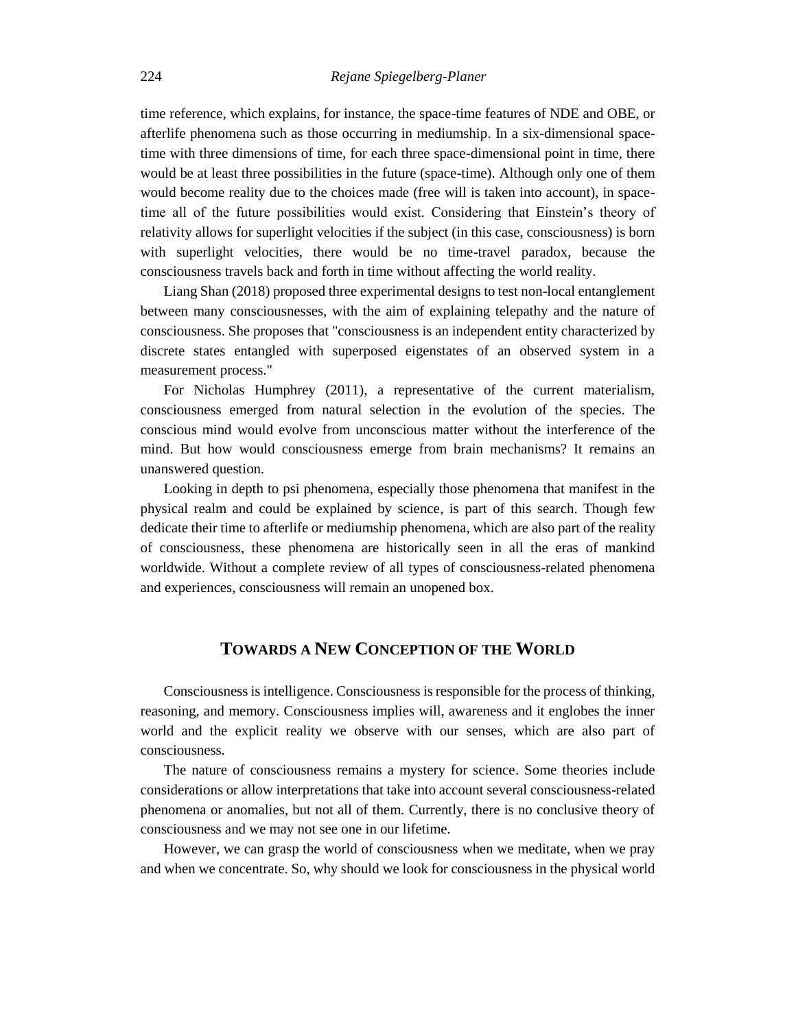time reference, which explains, for instance, the space-time features of NDE and OBE, or afterlife phenomena such as those occurring in mediumship. In a six-dimensional spacetime with three dimensions of time, for each three space-dimensional point in time, there would be at least three possibilities in the future (space-time). Although only one of them would become reality due to the choices made (free will is taken into account), in spacetime all of the future possibilities would exist. Considering that Einstein's theory of relativity allows for superlight velocities if the subject (in this case, consciousness) is born with superlight velocities, there would be no time-travel paradox, because the consciousness travels back and forth in time without affecting the world reality.

Liang Shan (2018) proposed three experimental designs to test non-local entanglement between many consciousnesses, with the aim of explaining telepathy and the nature of consciousness. She proposes that "consciousness is an independent entity characterized by discrete states entangled with superposed eigenstates of an observed system in a measurement process."

For Nicholas Humphrey (2011), a representative of the current materialism, consciousness emerged from natural selection in the evolution of the species. The conscious mind would evolve from unconscious matter without the interference of the mind. But how would consciousness emerge from brain mechanisms? It remains an unanswered question.

Looking in depth to psi phenomena, especially those phenomena that manifest in the physical realm and could be explained by science, is part of this search. Though few dedicate their time to afterlife or mediumship phenomena, which are also part of the reality of consciousness, these phenomena are historically seen in all the eras of mankind worldwide. Without a complete review of all types of consciousness-related phenomena and experiences, consciousness will remain an unopened box.

# **TOWARDS A NEW CONCEPTION OF THE WORLD**

Consciousnessis intelligence. Consciousness is responsible for the process of thinking, reasoning, and memory. Consciousness implies will, awareness and it englobes the inner world and the explicit reality we observe with our senses, which are also part of consciousness.

The nature of consciousness remains a mystery for science. Some theories include considerations or allow interpretations that take into account several consciousness-related phenomena or anomalies, but not all of them. Currently, there is no conclusive theory of consciousness and we may not see one in our lifetime.

However, we can grasp the world of consciousness when we meditate, when we pray and when we concentrate. So, why should we look for consciousness in the physical world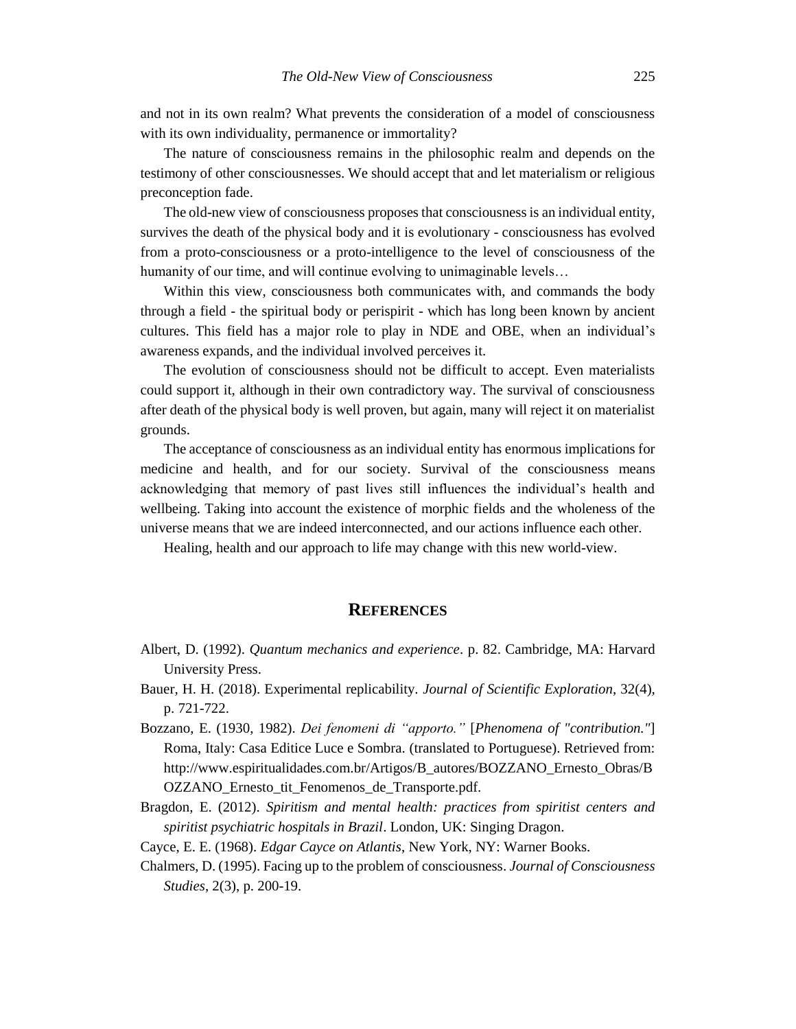and not in its own realm? What prevents the consideration of a model of consciousness with its own individuality, permanence or immortality?

The nature of consciousness remains in the philosophic realm and depends on the testimony of other consciousnesses. We should accept that and let materialism or religious preconception fade.

The old-new view of consciousness proposes that consciousness is an individual entity, survives the death of the physical body and it is evolutionary - consciousness has evolved from a proto-consciousness or a proto-intelligence to the level of consciousness of the humanity of our time, and will continue evolving to unimaginable levels…

Within this view, consciousness both communicates with, and commands the body through a field - the spiritual body or perispirit - which has long been known by ancient cultures. This field has a major role to play in NDE and OBE, when an individual's awareness expands, and the individual involved perceives it.

The evolution of consciousness should not be difficult to accept. Even materialists could support it, although in their own contradictory way. The survival of consciousness after death of the physical body is well proven, but again, many will reject it on materialist grounds.

The acceptance of consciousness as an individual entity has enormous implications for medicine and health, and for our society. Survival of the consciousness means acknowledging that memory of past lives still influences the individual's health and wellbeing. Taking into account the existence of morphic fields and the wholeness of the universe means that we are indeed interconnected, and our actions influence each other.

Healing, health and our approach to life may change with this new world-view.

### **REFERENCES**

- Albert, D. (1992). *Quantum mechanics and experience*. p. 82. Cambridge, MA: Harvard University Press.
- Bauer, H. H. (2018). Experimental replicability. *Journal of Scientific Exploration*, 32(4), p. 721-722.
- Bozzano, E. (1930, 1982). *Dei fenomeni di "apporto."* [*Phenomena of "contribution."*] Roma, Italy: Casa Editice Luce e Sombra. (translated to Portuguese). Retrieved from: http://www.espiritualidades.com.br/Artigos/B\_autores/BOZZANO\_Ernesto\_Obras/B OZZANO\_Ernesto\_tit\_Fenomenos\_de\_Transporte.pdf.
- Bragdon, E. (2012). *Spiritism and mental health: practices from spiritist centers and spiritist psychiatric hospitals in Brazil*. London, UK: Singing Dragon.
- Cayce, E. E. (1968). *Edgar Cayce on Atlantis*, New York, NY: Warner Books.
- Chalmers, D. (1995). Facing up to the problem of consciousness. *Journal of Consciousness Studies*, 2(3), p. 200-19.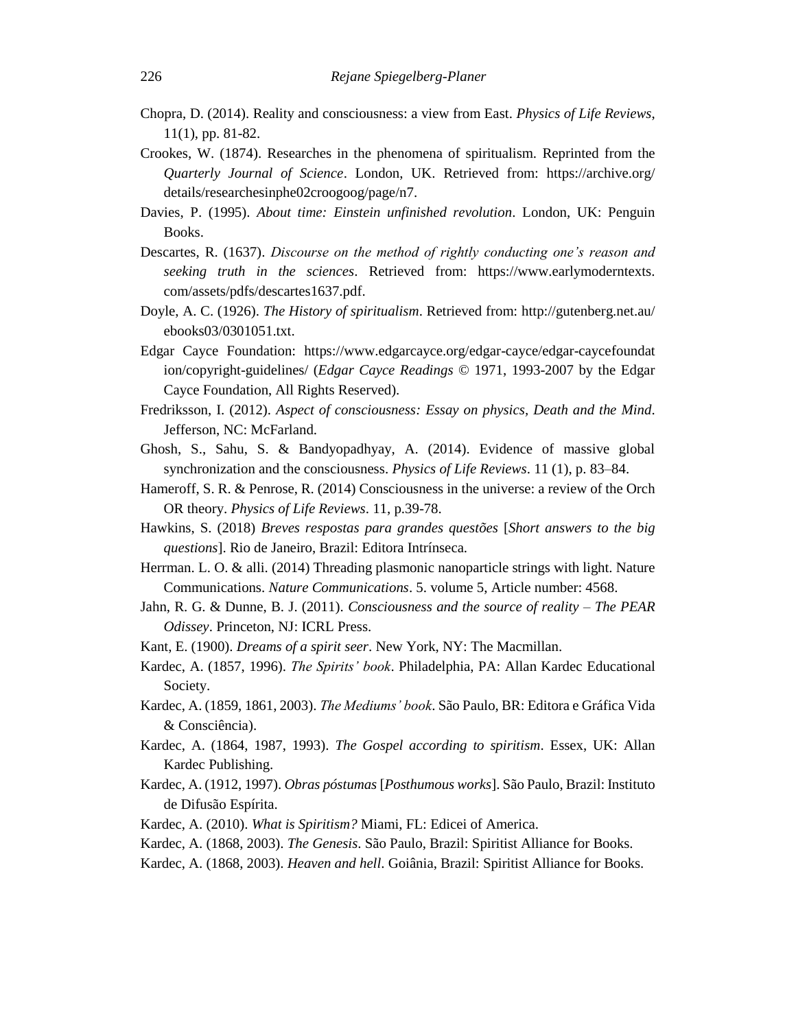- Chopra, D. (2014). Reality and consciousness: a view from East. *Physics of Life Reviews*, 11(1), pp. 81-82.
- Crookes, W. (1874). Researches in the phenomena of spiritualism. Reprinted from the *Quarterly Journal of Science*. London, UK. Retrieved from: https://archive.org/ details/researchesinphe02croogoog/page/n7.
- Davies, P. (1995). *About time: Einstein unfinished revolution*. London, UK: Penguin Books.
- Descartes, R. (1637). *Discourse on the method of rightly conducting one's reason and seeking truth in the sciences*. Retrieved from: https://www.earlymoderntexts. com/assets/pdfs/descartes1637.pdf.
- Doyle, A. C. (1926). *The History of spiritualism*. Retrieved from:<http://gutenberg.net.au/> ebooks03/0301051.txt.
- Edgar Cayce Foundation: <https://www.edgarcayce.org/edgar-cayce/edgar-caycefoundat> ion/copyright-guidelines/ (*Edgar Cayce Readings* © 1971, 1993-2007 by the Edgar Cayce Foundation, All Rights Reserved).
- Fredriksson, I. (2012). *Aspect of consciousness: Essay on physics, Death and the Mind*. Jefferson, NC: McFarland.
- Ghosh, S., Sahu, S. & Bandyopadhyay, A. (2014). Evidence of massive global synchronization and the consciousness. *Physics of Life Reviews*. 11 (1), p. 83–84.
- Hameroff, S. R. & Penrose, R. (2014) Consciousness in the universe: a review of the Orch OR theory. *Physics of Life Reviews*. 11, p.39-78.
- Hawkins, S. (2018) *Breves respostas para grandes questões* [*Short answers to the big questions*]. Rio de Janeiro, Brazil: Editora Intrínseca.
- Herrman. L. O. & alli. (2014) Threading plasmonic nanoparticle strings with light. Nature Communications. *Nature Communications*. 5. volume 5, Article number: 4568.
- Jahn, R. G. & Dunne, B. J. (2011). *Consciousness and the source of reality – The PEAR Odissey*. Princeton, NJ: ICRL Press.
- Kant, E. (1900). *Dreams of a spirit seer*. New York, NY: The Macmillan.
- Kardec, A. (1857, 1996). *The Spirits' book*. Philadelphia, PA: Allan Kardec Educational Society.
- Kardec, A. (1859, 1861, 2003). *The Mediums' book*. São Paulo, BR: Editora e Gráfica Vida & Consciência).
- Kardec, A. (1864, 1987, 1993). *The Gospel according to spiritism*. Essex, UK: Allan Kardec Publishing.
- Kardec, A. (1912, 1997). *Obras póstumas* [*Posthumous works*]. São Paulo, Brazil: Instituto de Difusão Espírita.
- Kardec, A. (2010). *What is Spiritism?* Miami, FL: Edicei of America.
- Kardec, A. (1868, 2003). *The Genesis*. São Paulo, Brazil: Spiritist Alliance for Books.
- Kardec, A. (1868, 2003). *Heaven and hell*. Goiânia, Brazil: Spiritist Alliance for Books.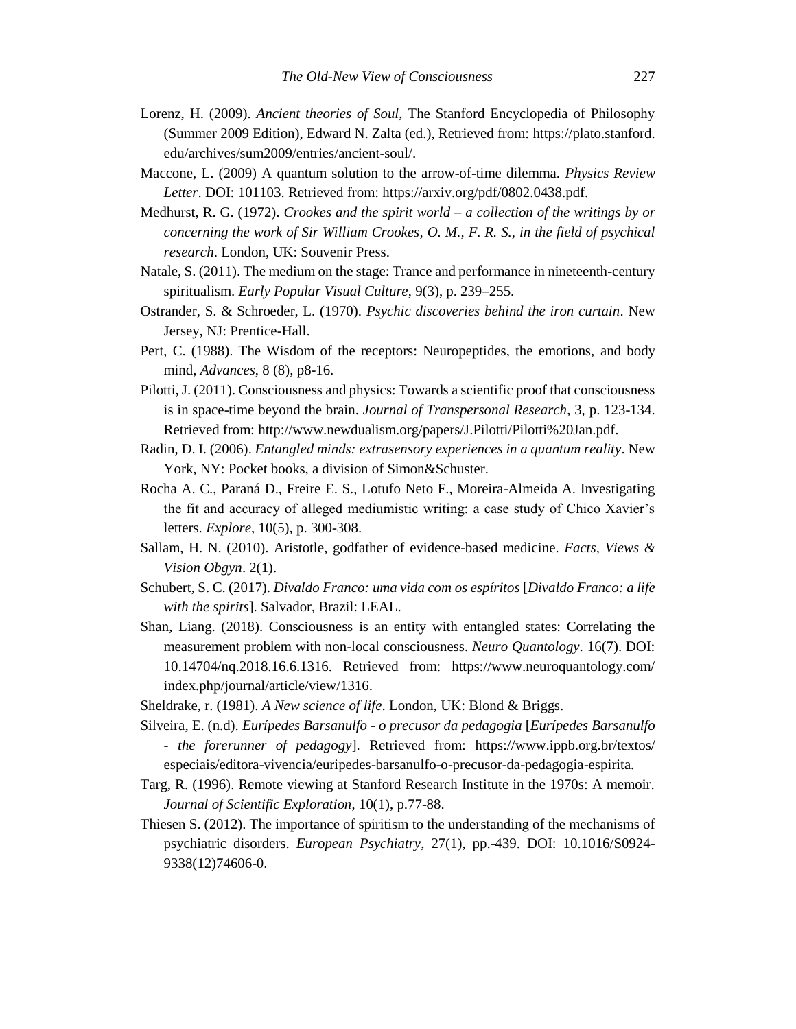- Lorenz, H. (2009). *Ancient theories of Soul*, The Stanford Encyclopedia of Philosophy (Summer 2009 Edition), Edward N. Zalta (ed.), Retrieved from: [https://plato.stanford.](https://plato.stanford/) edu/archives/sum2009/entries/ancient-soul/.
- Maccone, L. (2009) A quantum solution to the arrow-of-time dilemma. *Physics Review Letter*. DOI: 101103. Retrieved from: https://arxiv.org/pdf/0802.0438.pdf.
- Medhurst, R. G. (1972). *Crookes and the spirit world – a collection of the writings by or concerning the work of Sir William Crookes, O. M., F. R. S., in the field of psychical research*. London, UK: Souvenir Press.
- Natale, S. (2011). The medium on the stage: Trance and performance in nineteenth-century spiritualism. *Early Popular Visual Culture*, 9(3), p. 239–255.
- Ostrander, S. & Schroeder, L. (1970). *Psychic discoveries behind the iron curtain*. New Jersey, NJ: Prentice-Hall.
- Pert, C. (1988). The Wisdom of the receptors: Neuropeptides, the emotions, and body mind, *Advances*, 8 (8), p8-16.
- Pilotti, J. (2011). Consciousness and physics: Towards a scientific proof that consciousness is in space-time beyond the brain. *Journal of Transpersonal Research*, 3, p. 123-134. Retrieved from: http://www.newdualism.org/papers/J.Pilotti/Pilotti%20Jan.pdf.
- Radin, D. I. (2006). *Entangled minds: extrasensory experiences in a quantum reality*. New York, NY: Pocket books, a division of Simon&Schuster.
- Rocha A. C., Paraná D., Freire E. S., Lotufo Neto F., Moreira-Almeida A. Investigating the fit and accuracy of alleged mediumistic writing: a case study of Chico Xavier's letters. *Explore*, 10(5), p. 300-308.
- Sallam, H. N. (2010). Aristotle, godfather of evidence-based medicine. *Facts, Views & Vision Obgyn*. 2(1).
- Schubert, S. C. (2017). *Divaldo Franco: uma vida com os espíritos* [*Divaldo Franco: a life with the spirits*]. Salvador, Brazil: LEAL.
- Shan, Liang. (2018). Consciousness is an entity with entangled states: Correlating the measurement problem with non-local consciousness. *Neuro Quantology*. 16(7). DOI: 10.14704/nq.2018.16.6.1316. Retrieved from: https://www.neuroquantology.com/ index.php/journal/article/view/1316.
- Sheldrake, r. (1981). *A New science of life*. London, UK: Blond & Briggs.
- Silveira, E. (n.d). *Eurípedes Barsanulfo - o precusor da pedagogia* [*Eurípedes Barsanulfo - the forerunner of pedagogy*]. Retrieved from: <https://www.ippb.org.br/textos/> especiais/editora-vivencia/euripedes-barsanulfo-o-precusor-da-pedagogia-espirita.
- Targ, R. (1996). Remote viewing at Stanford Research Institute in the 1970s: A memoir. *Journal of Scientific Exploration*, 10(1), p.77-88.
- Thiesen S. (2012). The importance of spiritism to the understanding of the mechanisms of psychiatric disorders. *European Psychiatry*, 27(1), pp.-439. DOI: 10.1016/S0924- 9338(12)74606-0.